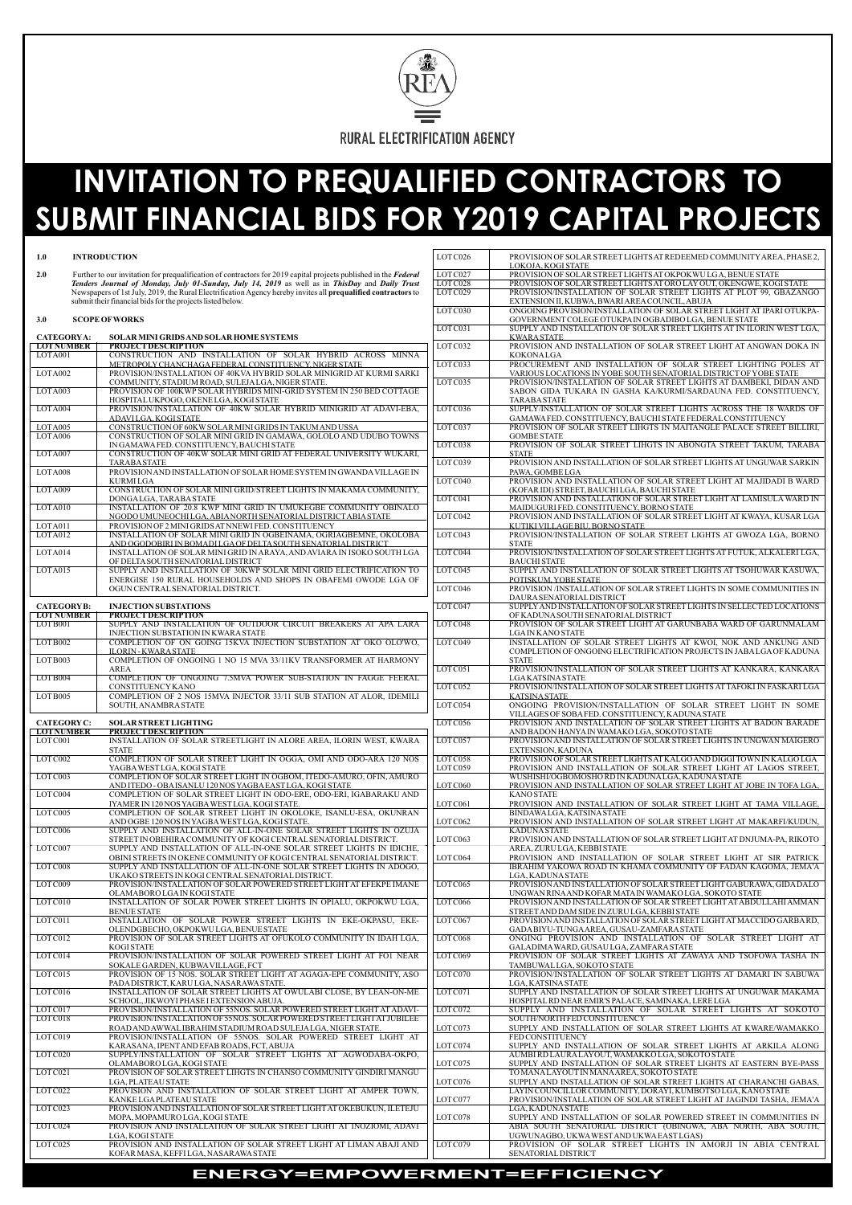

# **INVITATION TO PREQUALIFIED CONTRACTORS TO SUBMIT FINANCIAL BIDS FOR Y2019 CAPITAL PROJECTS**

| $1.0\,$                          | <b>INTRODUCTION</b>                                                                                                                                                                                                | LOTC026              | PROVISION OF SOLAR STREET LIGHTS AT REDEEMED COMMUNITY AREA, PHASE 2,                                                                   |
|----------------------------------|--------------------------------------------------------------------------------------------------------------------------------------------------------------------------------------------------------------------|----------------------|-----------------------------------------------------------------------------------------------------------------------------------------|
| 2.0                              |                                                                                                                                                                                                                    | LOT C027             | LOKOJA, KOGI STATE<br>PROVISION OF SOLAR STREET LIGHTS AT OKPOKWU LGA, BENUE STATE                                                      |
|                                  | Further to our invitation for prequalification of contractors for 2019 capital projects published in the Federal<br>Tenders Journal of Monday, July 01-Sunday, July 14, 2019 as well as in ThisDay and Daily Trust | LOTC028              | PROVISION OF SOLAR STREET LIGHTS AT ORO LAY OUT, OKENGWE, KOGI STATE                                                                    |
|                                  | Newspapers of 1st July, 2019, the Rural Electrification Agency hereby invites all prequalified contractors to                                                                                                      | LOTC029              | PROVISION/INSTALLATION OF SOLAR STREET LIGHTS AT PLOT 99, GBAZANGO                                                                      |
|                                  | submit their financial bids for the projects listed below.                                                                                                                                                         |                      | EXTENSION II, KUBWA, BWARI AREA COUNCIL, ABUJA                                                                                          |
| 3.0                              | <b>SCOPE OF WORKS</b>                                                                                                                                                                                              | LOT C030             | ONGOING PROVISION/INSTALLATION OF SOLAR STREET LIGHT AT IPARI OTUKPA-<br>GOVERNMENT COLEGE OTUKPA IN OGBADIBO LGA, BENUE STATE          |
| <b>CATEGORYA:</b>                | SOLAR MINI GRIDS AND SOLAR HOME SYSTEMS                                                                                                                                                                            | LOTC031              | SUPPLY AND INSTALLATION OF SOLAR STREET LIGHTS AT IN ILORIN WEST LGA,<br><b>KWARA STATE</b>                                             |
| <b>LOTNUMBER</b>                 | <b>PROJECT DESCRIPTION</b>                                                                                                                                                                                         | LOTC032              | PROVISION AND INSTALLATION OF SOLAR STREET LIGHT AT ANGWAN DOKA IN                                                                      |
| LOTA001                          | CONSTRUCTION AND INSTALLATION OF SOLAR HYBRID ACROSS MINNA                                                                                                                                                         |                      | KOKONALGA                                                                                                                               |
|                                  | METROPOLY CHANCHAGA FEDERAL CONSTITUENCY, NIGER STATE                                                                                                                                                              | LOTC033              | PROCUREMENT AND INSTALLATION OF SOLAR STREET LIGHTING POLES AT                                                                          |
| LOTA002                          | PROVISION/INSTALLATION OF 40KVA HYBRID SOLAR MINIGRID AT KURMI SARKI                                                                                                                                               |                      | VARIOUS LOCATIONS IN YOBE SOUTH SENATORIAL DISTRICT OF YOBE STATE                                                                       |
| LOTA003                          | COMMUNITY, STADIUM ROAD, SULEJALGA, NIGER STATE.<br>PROVISION OF 100KWP SOLAR HYBRIDS MINI-GRID SYSTEM IN 250 BED COTTAGE                                                                                          | LOTC035              | PROVISION/INSTALLATION OF SOLAR STREET LIGHTS AT DAMBEKI, DIDAN AND<br>SABON GIDA TUKARA IN GASHA KA/KURMI/SARDAUNA FED. CONSTITUENCY,  |
|                                  | HOSPITAL UKPOGO, OKENE LGA, KOGI STATE                                                                                                                                                                             |                      | <b>TARABA STATE</b>                                                                                                                     |
| LOTA004                          | PROVISION/INSTALLATION OF 40KW SOLAR HYBRID MINIGRID AT ADAVI-EBA.<br>ADAVILGA, KOGI STATE                                                                                                                         | LOTC036              | SUPPLY/INSTALLATION OF SOLAR STREET LIGHTS ACROSS THE 18 WARDS OF<br>GAMAWA FED. CONSTITUENCY, BAUCHI STATE FEDERAL CONSTITUENCY        |
| LOTA005                          | CONSTRUCTION OF 60KW SOLAR MINI GRIDS IN TAKUM AND USSA                                                                                                                                                            | LOTC037              | PROVISION OF SOLAR STREET LIHGTS IN MAITANGLE PALACE STREET BILLIRI,                                                                    |
| LOTA006                          | CONSTRUCTION OF SOLAR MINI GRID IN GAMAWA, GOLOLO AND UDUBO TOWNS                                                                                                                                                  |                      | <b>GOMBE STATE</b>                                                                                                                      |
| LOTA007                          | IN GAMAWA FED. CONSTITUENCY, BAUCHI STATE<br>CONSTRUCTION OF 40KW SOLAR MINI GRID AT FEDERAL UNIVERSITY WUKARI,                                                                                                    | LOTC038              | PROVISION OF SOLAR STREET LIHGTS IN ABONGTA STREET TAKUM, TARABA<br><b>STATE</b>                                                        |
|                                  | <b>TARABASTATE</b>                                                                                                                                                                                                 | LOTC039              | PROVISION AND INSTALLATION OF SOLAR STREET LIGHTS AT UNGUWAR SARKIN                                                                     |
| LOTA008                          | PROVISION AND INSTALLATION OF SOLAR HOME SYSTEM IN GWANDA VILLAGE IN                                                                                                                                               |                      | PAWA, GOMBELGA                                                                                                                          |
| LOTA009                          | <b>KURMILGA</b><br>CONSTRUCTION OF SOLAR MINI GRID/STREET LIGHTS IN MAKAMA COMMUNITY,                                                                                                                              | LOTC040              | PROVISION AND INSTALLATION OF SOLAR STREET LIGHT AT MAJIDADI B WARD<br>(KOFAR IDI) STREET, BAUCHI LGA, BAUCHI STATE                     |
|                                  | DONGALGA, TARABA STATE                                                                                                                                                                                             | LOTC041              | PROVISION AND INSTALLATION OF SOLAR STREET LIGHT AT LAMISULA WARD IN                                                                    |
| LOTA010                          | INSTALLATION OF 20.8 KWP MINI GRID IN UMUKEGBE COMMUNITY OBINALO                                                                                                                                                   |                      | MAIDUGURI FED. CONSTITUENCY, BORNO STATE                                                                                                |
|                                  | NGODO UMUNEOCHILGA, ABIANORTH SENATORIAL DISTRICTABIA STATE                                                                                                                                                        | LOTC042              | PROVISION AND INSTALLATION OF SOLAR STREET LIGHT AT KWAYA, KUSAR LGA                                                                    |
| LOTA011<br>LOTA012               | PROVISION OF 2 MINI GRIDS AT NNEWIFED. CONSTITUENCY<br>INSTALLATION OF SOLAR MINI GRID IN OGBEINAMA, OGRIAGBEMNE, OKOLOBA                                                                                          | LOTC043              | KUTIKI VILLAGE BIU, BORNO STATE<br>PROVISION/INSTALLATION OF SOLAR STREET LIGHTS AT GWOZA LGA, BORNO                                    |
|                                  | AND OGODOBIRI IN BOMADILGA OF DELTA SOUTH SENATORIAL DISTRICT                                                                                                                                                      |                      | <b>STATE</b>                                                                                                                            |
| LOTA014                          | INSTALLATION OF SOLAR MINI GRID IN ARAYA, AND AVIARA IN ISOKO SOUTH LGA                                                                                                                                            | LOTC044              | PROVISION/INSTALLATION OF SOLAR STREET LIGHTS AT FUTUK, ALKALERI LGA,                                                                   |
|                                  | OF DELTA SOUTH SENATORIAL DISTRICT                                                                                                                                                                                 |                      | <b>BAUCHI STATE</b>                                                                                                                     |
| $\overline{\text{LO}}$ TA015     | SUPPLY AND INSTALLATION OF 30KWP SOLAR MINI GRID ELECTRIFICATION TO<br>ENERGISE 150 RURAL HOUSEHOLDS AND SHOPS IN OBAFEMI OWODE LGA OF                                                                             | LOTC045              | SUPPLY AND INSTALLATION OF SOLAR STREET LIGHTS AT TSOHUWAR KASUWA,<br>POTISKUM, YOBE STATE                                              |
|                                  | OGUN CENTRAL SENATORIAL DISTRICT.                                                                                                                                                                                  | LOTC046              | PROVISION /INSTALLATION OF SOLAR STREET LIGHTS IN SOME COMMUNITIES IN<br>DAURA SENATORIAL DISTRICT                                      |
| <b>CATEGORY B:</b>               | <b>INJECTION SUBSTATIONS</b>                                                                                                                                                                                       | LOTC047              | SUPPLY AND INSTALLATION OF SOLAR STREET LIGHTS IN SELLECTED LOCATIONS                                                                   |
| <b>LOTNUMBER</b>                 | <b>PROJECT DESCRIPTION</b>                                                                                                                                                                                         |                      | OF KADUNA SOUTH SENATORIAL DISTRICT                                                                                                     |
| LOT B001                         | SUPPLY AND INSTALLATION OF OUTDOOR CIRCUIT BREAKERS AT APA LARA<br><b>INJECTION SUBSTATION IN KWARA STATE</b>                                                                                                      | LOTC048              | PROVISION OF SOLAR STREET LIGHT AT GARUNBABA WARD OF GARUNMALAM<br>LGA IN KANO STATE                                                    |
| LOT B002                         | COMPLETION OF ON GOING 15KVA INJECTION SUBSTATION AT OKO OLO'WO,<br><b>ILORIN-KWARASTATE</b>                                                                                                                       | LOTC049              | INSTALLATION OF SOLAR STREET LIGHTS AT KWOI, NOK AND ANKUNG AND<br>COMPLETION OF ONGOING ELECTRIFICATION PROJECTS IN JABA LGA OF KADUNA |
| LOT B003                         | COMPLETION OF ONGOING 1 NO 15 MVA 33/11KV TRANSFORMER AT HARMONY                                                                                                                                                   |                      | <b>STATE</b>                                                                                                                            |
|                                  | <b>AREA</b>                                                                                                                                                                                                        | LOTC051              | PROVISION/INSTALLATION OF SOLAR STREET LIGHTS AT KANKARA, KANKARA                                                                       |
| LOT B004                         | COMPLETION OF ONGOING 7.5MVA POWER SUB-STATION IN FAGGE FEERAL                                                                                                                                                     |                      | <b>LGAKATSINA STATE</b>                                                                                                                 |
| LOT B005                         | CONSTITUENCY KANO<br>COMPLETION OF 2 NOS 15MVA INJECTOR 33/11 SUB STATION AT ALOR, IDEMILI                                                                                                                         | LOTC052              | PROVISION/INSTALLATION OF SOLAR STREET LIGHTS AT TAFOKI IN FASKARI LGA                                                                  |
|                                  |                                                                                                                                                                                                                    |                      | K ATSINA STATE                                                                                                                          |
|                                  | SOUTH, ANAMBRA STATE                                                                                                                                                                                               | LOTC054              | ONGOING PROVISION/INSTALLATION OF SOLAR STREET LIGHT IN SOME                                                                            |
|                                  |                                                                                                                                                                                                                    |                      | VILLAGES OF SOBAFED. CONSTITUENCY, KADUNA STATE                                                                                         |
| <b>CATEGORY C:</b>               | <b>SOLAR STREET LIGHTING</b>                                                                                                                                                                                       | LOTC056              | PROVISION AND INSTALLATION OF SOLAR STREET LIGHTS AT BADON BARADE                                                                       |
| <b>LOTNUMBER</b><br>LOT C001     | <b>PROJECT DESCRIPTION</b><br>INSTALLATION OF SOLAR STREETLIGHT IN ALORE AREA, ILORIN WEST, KWARA                                                                                                                  | LOTC057              | AND BADON HANYA IN WAMAKO LGA, SOKOTO STATE<br>PROVISION AND INSTALLATION OF SOLAR STREET LIGHTS IN UNGWAN MAIGERO                      |
|                                  | <b>STATE</b>                                                                                                                                                                                                       |                      | <b>EXTENSION, KADUNA</b>                                                                                                                |
|                                  | COMPLETION OF SOLAR STREET LIGHT IN OGGA, OMI AND ODO-ARA 120 NOS                                                                                                                                                  | LOTC058              | PROVISION OF SOLAR STREET LIGHTS AT KALGO AND DIGGI TOWN IN KALGO LGA                                                                   |
| LOT C002<br>LOT C003             | YAGBA WEST LGA, KOGI STATE<br>COMPLETION OF SOLAR STREET LIGHT IN OGBOM, ITEDO-AMURO, OFIN, AMURO                                                                                                                  | LOTC059              | PROVISION AND INSTALLATION OF SOLAR STREET LIGHT AT LAGOS STREET,<br>WUSHISHI/OGBOMOSHO RD IN KADUNA LGA, KADUNA STATE                  |
|                                  | <u>AND ITEDO - OBA ISANLU 120 NOS YAGBA EAST LGA, KOGI STATE</u>                                                                                                                                                   | LOTC060              | PROVISION AND INSTALLATION OF SOLAR STREET LIGHT AT JOBE IN TOFA LGA,                                                                   |
|                                  | COMPLETION OF SOLAR STREET LIGHT IN ODO-ERE, ODO-ERI, IGABARAKU AND<br>IYAMER IN 120 NOS YAGBA WEST LGA, KOGI STATE.                                                                                               | LOTC061              | <b>KANO STATE</b><br>PROVISION AND INSTALLATION OF SOLAR STREET LIGHT AT TAMA VILLAGE,                                                  |
|                                  | COMPLETION OF SOLAR STREET LIGHT IN OKOLOKE, ISANLU-ESA, OKUNRAN                                                                                                                                                   |                      | BINDAWA LGA, KATSINA STATE                                                                                                              |
|                                  | AND OGBE 120 NOS IN YAGBA WEST LGA, KOGI STATE.                                                                                                                                                                    | LOT C <sub>062</sub> | PROVISION AND INSTALLATION OF SOLAR STREET LIGHT AT MAKARFI/KUDUN,                                                                      |
|                                  | SUPPLY AND INSTALLATION OF ALL-IN-ONE SOLAR STREET LIGHTS IN OZUJA                                                                                                                                                 |                      | <b>KADUNA STATE</b>                                                                                                                     |
| LOT C004<br>LOT C005<br>LOT C006 | STREET IN OBEHIRA COMMUNITY OF KOGI CENTRAL SENATORIAL DISTRICT.                                                                                                                                                   | LOTC063              | PROVISION AND INSTALLATION OF SOLAR STREET LIGHT AT DNJUMA-PA, RIKOTO                                                                   |
|                                  | SUPPLY AND INSTALLATION OF ALL-IN-ONE SOLAR STREET LIGHTS IN IDICHE,                                                                                                                                               |                      | AREA, ZURU LGA, KEBBI STATE                                                                                                             |
|                                  | OBINI STREETS IN OKENE COMMUNITY OF KOGI CENTRAL SENATORIAL DISTRICT.<br>SUPPLY AND INSTALLATION OF ALL-IN-ONE SOLAR STREET LIGHTS IN ADOGO,                                                                       | LOTC064              | PROVISION AND INSTALLATION OF SOLAR STREET LIGHT AT SIR PATRICK<br>IBRAHIM YAKOWA ROAD IN KHAMA COMMUNITY OF FADAN KAGOMA, JEMA'A       |
| LOT C007<br>LOT C008             | UKAKO STREETS IN KOGI CENTRAL SENATORIAL DISTRICT.                                                                                                                                                                 |                      | LGA, KADUNA STATE                                                                                                                       |
| LOT C009                         | PROVISION/INSTALLATION OF SOLAR POWERED STREET LIGHT AT EFEKPE IMANE                                                                                                                                               | LOT C065             | PROVISION AND INSTALLATION OF SOLAR STREET LIGHT GABURAWA, GIDA DALO                                                                    |

#### **CATEGORYA: SOLAR MINI GRIDS AND SOLAR HOME SYSTEMS<br>LOT NUMBER PROJECT DESCRIPTION LOTNUMBER PROJECTDESCRIPTION**<br>LOTA001 CONSTRUCTION AND I CONSTRUCTION AND INSTALLATION OF SOLAR HYBRID ACROSS MINNA METROPOLY CHANCHAGA FEDERAL CONSTITUENCY, NIGER STATE LOTA002 PROVISION/INSTALLATION OF 40KVA HYBRID SOLAR MINIGRID AT KURMI SARKI COMMUNITY, STADIUM ROAD, SULEJALGA, NIGER STATE LOTA003 PROVISION OF 100KWP SOLAR HYBRIDS MINI-GRID SYSTEM IN 250 BED COTTAGE HOSPITAL UKPOGO, OKENE LGA, KOGI STATE LOTA004 PROVISION/INSTALLATION OF 40KW SOLAR HYBRID MINIGRID AT ADAVI-EBA, ADAVILGA, KOGI STATE LOTA005 CONSTRUCTION OF 60KW SOLAR MINI GRIDS IN TAKUM AND USS.<br>LOTA006 CONSTRUCTION OF SOLAR MINI GRID IN GAMAWA, GOLOLO ANI CONSTRUCTION OF SOLAR MINI GRID IN GAMAWA, GOLOLO AND UDUBO TOWNS IN GAMAWA FED. CONSTITUENCY, BAUCHI STATE LOTA007 CONSTRUCTION OF 40KW SOLAR MINI GRID AT FEDERAL UNIVERSITY WUKARI, TARABA STATE LOTA008 PROVISION AND INSTALLATION OF SOLAR HOME SYSTEM IN GWANDA VILLAGE IN LOTA009 CONSTRUCTION OF SOLAR MINI GRID/STREET LIGHTS IN MAKAMA COMMUNITY. DONGALGA, TARABA STATE LOTA010 INSTALLATION OF 20.8 KWP MINI GRID IN UMUKEGBE COMMUNITY OBINALO NGODO UMUNEOCHI LGA, ABIANORTH SENATORIAL DISTRICT ABIA STATE LOTA011 PROVISION OF 2 MINI GRIDS AT NNEWI FED. CONSTITUENCY<br>LOTA012 INSTALLATION OF SOLAR MINI GRID IN OGBEINAMA, OGR INSTALLATION OF SOLAR MINI GRID IN OGBEINAMA, OGRIAGBEMNE, OKOLOBA AND OGODOBIRI IN BOMADI LGA OF DELTA SOUTH SENATORIAL DISTRICT LOTA014 INSTALLATION OF SOLAR MINI GRID IN ARAYA, AND AVIARA IN ISOKO SOUTH LGA OF DELTA SOUTH SENATORIAL DISTRICT LOTA015 SUPPLY AND INSTALLATION OF 30KWP SOLAR MINI GRID ELECTRIFICATION TO ENERGISE 150 RURAL HOUSEHOLDS AND SHOPS IN OBAFEMI OWODE LGA OF OGUN CENTRAL SENATORIAL DISTRICT. **CATEGORY B: INJECTION SUBSTATIONS<br>
LOT NUMBER PROJECT DESCRIPTION LOTNUMBER PROJECT DESCRIPTION**<br>COTB001 SUPPLY AND INSTALLAT SUPPLY AND INSTALLATION OF OUTDOOR CIRCUIT BREAKERS AT APA LARA INJECTION SUBSTATION IN KWARA STATE  $\begin{array}{|l|c|c|c|}\hline\text{LOTB002} & \text{COMPLETION OF ON GOING 15KVA INJECTION SUBSTATION AT OKO OLO'WO,} \\\hline \text{IJORN-KWARASTATE} \end{array}$ LOTB003 COMPLETION OF ONGOING 1 NO 15 MVA 33/11KV TRANSFORMER AT HARMONY LOTB004 COMPLETION OF ONGOING 7.5MVA POWER SUB-STATION IN FAGGE FEERAL CONSTITUENCY KANO LOTB005 COMPLETION OF 2 NOS 15MVA INJECTOR 33/11 SUB STATION AT ALOR, IDEMILI SOUTH. ANAMBRA STATE **CATEGORYC: SOLAR STREET LIGHTING LOTNUMBER PROJECTDESCRIPTION**<br>LOTC001 INSTALLATION OF SOLAR INSTALLATION OF SOLAR STREETLIGHT IN ALORE AREA, ILORIN WEST, KWARA STATE STATE EXTENSION, KADUNA LOTC002 COMPLETION OF SOLAR STREET LIGHT IN OGGA, OMI AND ODO-ARA 120 NOS YAGBAWESTLGA, KOGI STATE LOTC003 COMPLETION OF SOLAR STREET LIGHT IN OGBOM, ITEDO-AMURO, OFIN, AMURO AND ITEDO - OBAISANLU 120 NOS YAGBAEAST LGA, KOGI STATE LOTC004 COMPLETION OF SOLAR STREET LIGHT IN ODO-ERE, ODO-ERI, IGABARAKU AND IYAMER IN 120 NOS YAGBAWEST LGA, KOGI STATE LOTC005 COMPLETION OF SOLAR STREET LIGHT IN OKOLOKE, ISANLU-ESA, OKUNRAN AND OGBE 120 NOS IN YAGBAWEST LGA, KOGI STATE LOTC006 SUPPLY AND INSTALLATION OF ALL-IN-ONE SOLAR STREET LIGHTS IN OZUJA STREET IN OBEHIRA COMMUNITY OF KOGI CENTRAL SENATORIAL DISTRICT. LOTC007 SUPPLY AND INSTALLATION OF ALL-IN-ONE SOLAR STREET LIGHTS IN IDICHE, OBINI STREETS IN OKENE COMMUNITY OF KOGI CENTRAL SENATORIAL DISTRICT. LOTC008 SUPPLY AND INSTALLATION OF ALL-IN-ONE SOLAR STREET LIGHTS IN ADOGO. UKAKO STREETS IN KOGI CENTRALSENATORIALDISTRICT. LGA, KADUNASTATE LOTC009 PROVISION/INSTALLATION OF SOLAR POWERED STREET LIGHTAT EFEKPE IMANE LOTC065 PROVISION AND INSTALLATION OF SOLAR STREETLIGHTGABURAWA, GIDADALO OLAMABORO LGA IN KOGI STATE LOTC010 INSTALLATION OF SOLAR POWER STREET LIGHTS IN OPIALU, OKPOKWU LGA, LOTC066 PROVISION AND INSTALLATION OF SOLAR STREET LIGHTATABDULLAHI AMMAN

|          | <b>BENUE STATE</b>                                                     |          | STREET AND DAM SIDE IN ZURULGA, KEBBI STATE                           |
|----------|------------------------------------------------------------------------|----------|-----------------------------------------------------------------------|
| LOTC011  | INSTALLATION OF SOLAR POWER STREET LIGHTS IN EKE-OKPASU, EKE-          | LOT C067 | PROVISION AND INSTALLATION OF SOLAR STREET LIGHT AT MACCIDO GARBARD,  |
|          | OLENDGBECHO, OKPOKWULGA, BENUE STATE                                   |          | GADA BIYU-TUNGA AREA, GUSAU-ZAMFARA STATE                             |
| LOTC012  | PROVISION OF SOLAR STREET LIGHTS AT OFUKOLO COMMUNITY IN IDAH LGA,     | LOTC068  | ONGING PROVISION AND INSTALLATION OF SOLAR STREET LIGHT AT            |
|          | <b>KOGI STATE</b>                                                      |          | GALADIMA WARD, GUSAU LGA, ZAMFARA STATE                               |
| LOTC014  | PROVISION/INSTALLATION OF SOLAR POWERED STREET LIGHT AT FO1 NEAR       | LOTC069  | PROVISION OF SOLAR STREET LIGHTS AT ZAWAYA AND TSOFOWA TASHA IN       |
|          | SOKALE GARDEN, KUBWA VILLAGE, FCT                                      |          | TAMBUWAL LGA, SOKOTO STATE                                            |
| LOTC015  | PROVISION OF 15 NOS. SOLAR STREET LIGHT AT AGAGA-EPE COMMUNITY, ASO    | LOTC070  | PROVISION/INSTALLATION OF SOLAR STREET LIGHTS AT DAMARI IN SABUWA     |
|          | PADA DISTRICT, KARU LGA, NASARAWA STATE.                               |          | LGA, KATSINA STATE                                                    |
| LOTC016  | INSTALLATION OF SOLAR STREET LIGHTS AT OWULABI CLOSE, BY LEAN-ON-ME    | LOTC071  | SUPPLY AND INSTALLATION OF SOLAR STREET LIGHTS AT UNGUWAR MAKAMA      |
|          | SCHOOL. JIKWOYI PHASE I EXTENSION ABUJA.                               |          | HOSPITAL RD NEAR EMIR'S PALACE, SAMINAKA, LERE LGA                    |
| LOTC017  | PROVISION/INSTALLATION OF 55NOS. SOLAR POWERED STREET LIGHT AT ADAVI-  | LOTC072  | SUPPLY AND INSTALLATION OF SOLAR STREET LIGHTS AT SOKOTO              |
| LOTC018  | PROVISION/INSTALLATION OF 55NOS, SOLAR POWERED STREET LIGHT AT JUBILEE |          | SOUTH/NORTH FED CONSTITUENCY                                          |
|          | ROAD AND AWWAL IBRAHIM STADIUM ROAD SULEJALGA, NIGER STATE.            | LOTC073  | SUPPLY AND INSTALLATION OF SOLAR STREET LIGHTS AT KWARE/WAMAKKO       |
| LOTC019  | PROVISION/INSTALLATION OF 55NOS. SOLAR POWERED STREET LIGHT AT         |          | <b>FED CONSTITUENCY</b>                                               |
|          | KARASANA, IPENTAND EFAB ROADS, FCT, ABUJA                              | LOTC074  | SUPPLY AND INSTALLATION OF SOLAR STREET LIGHTS AT ARKILA ALONG        |
| LOT C020 | SUPPLY/INSTALLATION OF SOLAR STREET LIGHTS AT AGWODABA-OKPO,           |          | AUMBI RD LAURA LAYOUT, WAMAKKO LGA, SOKOTO STATE                      |
|          | OLAMABORO LGA. KOGI STATE                                              | LOTC075  | SUPPLY AND INSTALLATION OF SOLAR STREET LIGHTS AT EASTERN BYE-PASS    |
| LOTC021  | PROVISION OF SOLAR STREET LIHGTS IN CHANSO COMMUNITY GINDIRI MANGU     |          | TO MANALAYOUT IN MANAAREA, SOKOTO STATE                               |
|          | LGA. PLATEAU STATE                                                     | LOTC076  | SUPPLY AND INSTALLATION OF SOLAR STREET LIGHTS AT CHARANCHI GABAS.    |
| LOT C022 | PROVISION AND INSTALLATION OF SOLAR STREET LIGHT AT AMPER TOWN,        |          | LAYIN COUNCILLOR COMMUNITY, DORAYI, KUMBOTSO LGA, KANO STATE          |
|          | KANKE LGA PLATEAU STATE                                                | LOTC077  | PROVISION/INSTALLATION OF SOLAR STREET LIGHT AT JAGINDI TASHA, JEMA'A |
| LOTC023  | PROVISION AND INSTALLATION OF SOLAR STREET LIGHT AT OKEBUKUN, ILETEJU  |          | <b>LGA. KADUNA STATE</b>                                              |
|          | MOPA, MOPAMURO LGA, KOGI STATE                                         | LOTC078  | SUPPLY AND INSTALLATION OF SOLAR POWERED STREET IN COMMUNITIES IN     |
| LOTC024  | PROVISION AND INSTALLATION OF SOLAR STREET LIGHT AT INOZIOMI, ADAVI    |          | ABIA SOUTH SENATORIAL DISTRICT (OBINGWA, ABA NORTH, ABA SOUTH,        |
|          | LGA. KOGI STATE                                                        |          | UGWUNAGBO, UKWA WESTAND UKWA EAST LGAS)                               |
| LOTC025  | PROVISION AND INSTALLATION OF SOLAR STREET LIGHT AT LIMAN ABAJI AND    | LOTC079  | PROVISION OF SOLAR STREET LIGHTS IN AMORJI IN ABIA CENTRAL            |
|          | KOFAR MASA, KEFFI LGA, NASARAWA STATE                                  |          | <b>SENATORIAL DISTRICT</b>                                            |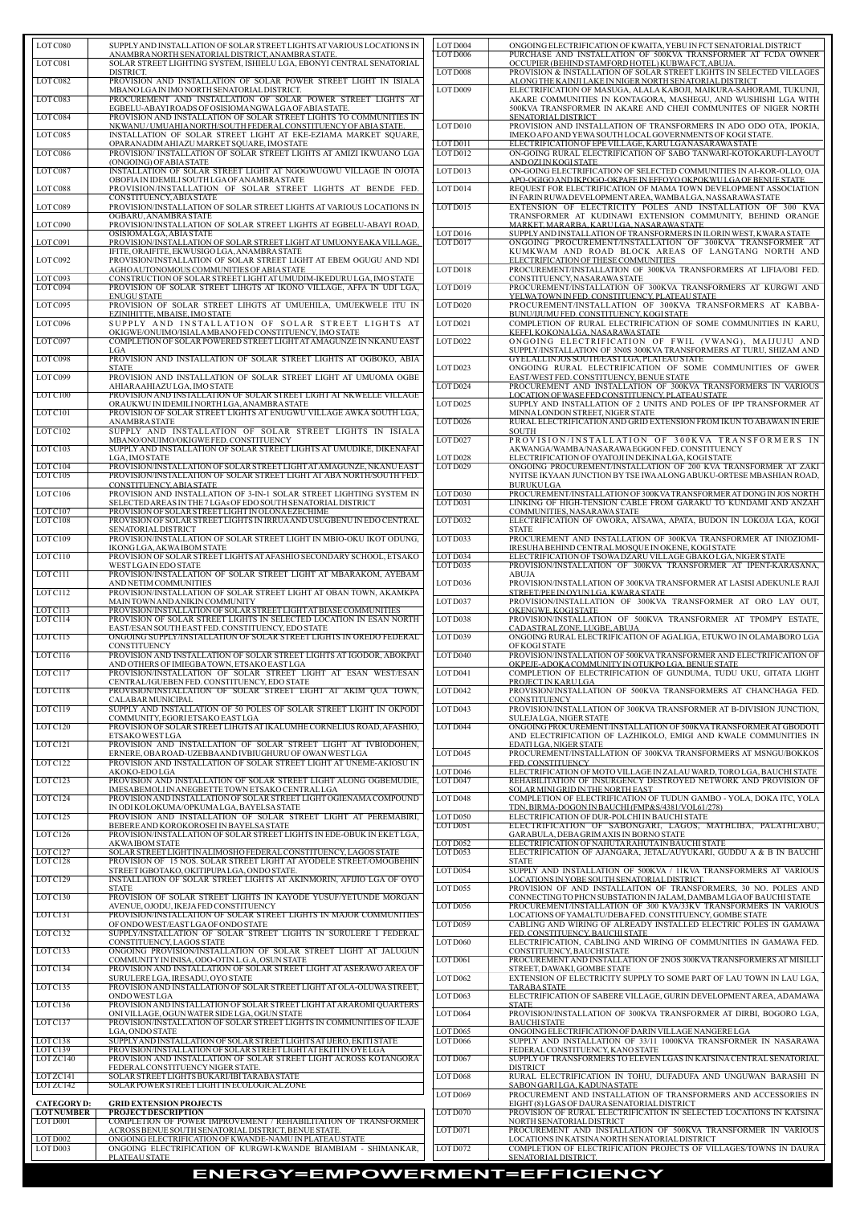| LOT C080          | SUPPLY AND INSTALLATION OF SOLAR STREET LIGHTS AT VARIOUS LOCATIONS IN                                                        | LOT D004                         | ONGOING ELECTRIFICATION OF KWAITA, YEBU IN FCT SENATORIAL DISTRICT                                                           |
|-------------------|-------------------------------------------------------------------------------------------------------------------------------|----------------------------------|------------------------------------------------------------------------------------------------------------------------------|
|                   | ANAMBRANORTH SENATORIAL DISTRICT, ANAMBRA STATE.                                                                              | LOT D006                         | PURCHASE AND INSTALLATION OF 500KVA TRANSFORMER AT FCDA OWNER                                                                |
| LOTC081           | SOLAR STREET LIGHTING SYSTEM, ISHIELU LGA, EBONYI CENTRAL SENATORIAL<br>DISTRICT.                                             | LOT D008                         | OCCUPIER (BEHIND STAMFORD HOTEL) KUBWA FCT, ABUJA.<br>PROVISION & INSTALLATION OF SOLAR STREET LIGHTS IN SELECTED VILLAGES   |
| LOTC082           | PROVISION AND INSTALLATION OF SOLAR POWER STREET LIGHT IN ISIALA                                                              |                                  | ALONG THE KAINJI LAKE IN NIGER NORTH SENATORIAL DISTRICT                                                                     |
|                   | MBANO LGA IN IMO NORTH SENATORIAL DISTRICT.                                                                                   | LOT D009                         | ELECTRIFICATION OF MASUGA, ALALA KABOJI, MAIKURA-SAHORAMI, TUKUNJI,                                                          |
| LOTC083           | PROCUREMENT AND INSTALLATION OF SOLAR POWER STREET LIGHTS AT                                                                  |                                  | AKARE COMMUNITIES IN KONTAGORA, MASHEGU, AND WUSHISHI LGA WITH                                                               |
| LOTC084           | EGBELU-ABAYI ROADS OF OSISIOMA NGWA LGA OF ABIA STATE.<br>PROVISION AND INSTALLATION OF SOLAR STREET LIGHTS TO COMMUNITIES IN |                                  | 500KVA TRANSFORMER IN AKARE AND CHEJI COMMUNITES OF NIGER NORTH                                                              |
|                   | NKWANU/UMUAHIANORTH/SOUTH FEDERAL CONSTITUENCY OF ABIA STATE.                                                                 | LOT D010                         | SENATORIAL DISTRICT<br>PROVISION AND INSTALLATION OF TRANSFORMERS IN ADO ODO OTA, IPOKIA,                                    |
| LOTC085           | INSTALLATION OF SOLAR STREET LIGHT AT EKE-EZIAMA MARKET SOUARE.                                                               |                                  | IMEKO AFO AND YEWA SOUTH LOCAL GOVERNMENTS OF KOGI STATE.                                                                    |
|                   | OPARANADIM AHIAZU MARKET SQUARE, IMO STATE                                                                                    | LOT D011                         | ELECTRIFICATION OF EPE VILLAGE, KARU LGA NASARAWA STATE                                                                      |
| LOTC086           | PROVISION/ INSTALLATION OF SOLAR STREET LIGHTS AT AMIZI IKWUANO LGA                                                           | LOTD012                          | ON-GOING RURAL ELECTRIFICATION OF SABO TANWARI-KOTOKARUFI-LAYOUT                                                             |
| LOTC087           | (ONGOING) OF ABIA STATE<br>INSTALLATION OF SOLAR STREET LIGHT AT NGOGWUGWU VILLAGE IN OJOTA                                   | LOTD013                          | AND OZI IN KOGI STATE<br>ON-GOING ELECTRIFICATION OF SELECTED COMMUNITIES IN AI-KOR-OLLO, OJA                                |
|                   | OBOFIA IN IDEMILI SOUTH LGA OF ANAMBRA STATE                                                                                  |                                  | APO-OGIGO AND IKPOGO-OKPAFE IN EFFOYO OKPOKWULGA OF BENUE STATE                                                              |
| LOTC088           | PROVISION/INSTALLATION OF SOLAR STREET LIGHTS AT BENDE FED.                                                                   | LOTD014                          | REQUEST FOR ELECTRIFICATION OF MAMA TOWN DEVELOPMENT ASSOCIATION                                                             |
|                   | CONSTITUENCY, ABIA STATE                                                                                                      |                                  | IN FARIN RUWA DEVELOPMENT AREA, WAMBA LGA, NASSARAWA STATE                                                                   |
| LOTC089           | PROVISION/INSTALLATION OF SOLAR STREET LIGHTS AT VARIOUS LOCATIONS IN                                                         | LOTD015                          | EXTENSION OF ELECTRICITY POLES AND INSTALLATION OF 300 KVA                                                                   |
| LOTC090           | OGBARU, ANAMBRA STATE<br>PROVISION/INSTALLATION OF SOLAR STREET LIGHTS AT EGBELU-ABAYI ROAD,                                  |                                  | TRANSFORMER AT KUDINAWI EXTENSION COMMUNITY, BEHIND ORANGE<br>MARKET, MARARBA, KARULGA, NASARAWA STATE                       |
|                   | OSISIOMALGA, ABIA STATE                                                                                                       | LOT D016                         | SUPPLY AND INSTALLATION OF TRANSFORMERS IN ILORIN WEST, KWARA STATE                                                          |
| LOTC091           | PROVISION/INSTALLATION OF SOLAR STREET LIGHT AT UMUONYEAKA VILLAGE.                                                           | LOT D017                         | ONGOING PROCUREMENT/INSTALLATION OF 300KVA TRANSFORMER AT                                                                    |
| LOTC092           | IFITE, ORAIFITE, EKWUSIGO LGA, ANAMBRA STATE<br>PROVISION/INSTALLATION OF SOLAR STREET LIGHT AT EBEM OGUGU AND NDI            |                                  | KUMKWAM AND ROAD BLOCK AREAS OF LANGTANG NORTH AND<br>ELECTRIFICATION OF THESE COMMUNITIES                                   |
|                   | AGHO AUTONOMOUS COMMUNITIES OF ABIA STATE                                                                                     | LOT D018                         | PROCUREMENT/INSTALLATION OF 300KVA TRANSFORMERS AT LIFIA/OBI FED.                                                            |
| LOTC093           | CONSTRUCTION OF SOLAR STREET LIGHT AT UMUDIM-IKEDURU LGA, IMO STATE                                                           |                                  | CONSTITUENCY, NASARAWA STATE                                                                                                 |
| LOTC094           | PROVISION OF SOLAR STREET LIHGTS AT IKONO VILLAGE, AFFA IN UDI LGA,                                                           | LOT D019                         | PROCUREMENT/INSTALLATION OF 300KVA TRANSFORMERS AT KURGWI AND                                                                |
| LOTC095           | <b>ENUGU STATE</b><br>PROVISION OF SOLAR STREET LIHGTS AT UMUEHILA, UMUEKWELE ITU IN                                          | LOT D020                         | YELWATOWN IN FED. CONSTITUENCY, PLATEAU STATE<br>PROCUREMENT/INSTALLATION OF 300KVA TRANSFORMERS AT KABBA-                   |
|                   | EZINIHITTE, MBAISE, IMO STATE                                                                                                 |                                  | BUNU/LJUMU FED. CONSTITUENCY. KOGI STATE                                                                                     |
| LOTC096           | SUPPLY AND INSTALLATION OF SOLAR STREET LIGHTS AT                                                                             | LOT D021                         | COMPLETION OF RURAL ELECTRIFICATION OF SOME COMMUNITIES IN KARU,                                                             |
|                   | OKIGWE/ONUIMO/ISIALA MBANO FED CONSTITUENCY, IMO STATE                                                                        |                                  | KEFFI, KOKONALGA, NASARAWA STATE                                                                                             |
| LOTC097           | COMPLETION OF SOLAR POWERED STREET LIGHT AT AMAGUNZE IN NKANU EAST                                                            | LOT D022                         | ONGOING ELECTRIFICATION OF FWIL (VWANG), MAIJUJU AND                                                                         |
| LOTC098           | LGA<br>PROVISION AND INSTALLATION OF SOLAR STREET LIGHTS AT OGBOKO, ABIA                                                      |                                  | SUPPLY/INSTALLATION OF 3N0S 300KVA TRANSFORMERS AT TURU, SHIZAM AND<br>GYELALL IN JOS SOUTH/EAST LGA, PLATEAU STATE          |
|                   | <b>STATE</b>                                                                                                                  | LOTD023                          | ONGOING RURAL ELECTRIFICATION OF SOME COMMUNITIES OF GWER                                                                    |
| LOTC099           | PROVISION AND INSTALLATION OF SOLAR STREET LIGHT AT UMUOMA OGBE                                                               |                                  | EAST/WEST FED. CONSTITUENCY, BENUE STATE                                                                                     |
| LOTC100           | AHIARA AHIAZU LGA, IMO STATE<br>PROVISION AND INSTALLATION OF SOLAR STREET LIGHT AT NKWELLE VILLAGE                           | LOT D024                         | PROCUREMENT AND INSTALLATION OF 300KVA TRANSFORMERS IN VARIOUS<br>LOCATION OF WASE FED CONSTITUENCY, PLATEAU STATE           |
|                   | ORAUKWU IN IDEMILI NORTH LGA, ANAMBRA STATE                                                                                   | LOTD025                          | SUPPLY AND INSTALLATION OF 2 UNITS AND POLES OF IPP TRANSFORMER AT                                                           |
| LOTC101           | PROVISION OF SOLAR STREET LIGHTS AT ENUGWU VILLAGE AWKA SOUTH LGA,                                                            |                                  | MINNA LONDON STREET, NIGER STATE                                                                                             |
|                   | <b>ANAMBRA STATE</b>                                                                                                          | LOTD026                          | RURAL ELECTRIFICATION AND GRID EXTENSION FROM IKUN TO ABAWAN IN ERIE                                                         |
| LOTC102           | SUPPLY AND INSTALLATION OF SOLAR STREET LIGHTS IN ISIALA                                                                      |                                  | <b>SOUTH</b>                                                                                                                 |
| LOTC103           | MBANO/ONUIMO/OKIGWE FED. CONSTITUENCY<br>SUPPLY AND INSTALLATION OF SOLAR STREET LIGHTS AT UMUDIKE, DIKENAFAI                 | LOT D027                         | PROVISION/INSTALLATION OF 300KVA TRANSFORMERS IN<br>AKWANGA/WAMBA/NASARAWA EGGON FED. CONSTITUENCY                           |
|                   | LGA, IMO STATE                                                                                                                | LOT D028                         | ELECTRIFICATION OF OYATOJI IN DEKINALGA, KOGI STATE                                                                          |
| LOTC104           | PROVISION/INSTALLATION OF SOLAR STREET LIGHT AT AMAGUNZE. NKANU EAST                                                          | LOT D029                         | ONGOING PROCUREMENT/INSTALLATION OF 200 KVA TRANSFORMER AT ZAKI                                                              |
| LOTC105           | PROVISION/INSTALLATION OF SOLAR STREET LIGHT AT ABA NORTH/SOUTH FED.                                                          |                                  | NYITSE IKYAAN JUNCTION BY TSE IWA ALONG ABUKU-ORTESE MBASHIAN ROAD,                                                          |
| LOTC106           | CONSTITUENCY.ABIASTATE<br>PROVISION AND INSTALLATION OF 3-IN-1 SOLAR STREET LIGHTING SYSTEM IN                                | LOT D030                         | <b>BURUKULGA</b><br>PROCUREMENT/INSTALLATION OF 300KVA TRANSFORMER AT DONG IN JOS NORTH                                      |
|                   | SELECTED AREAS IN THE 7 LGAs OF EDO SOUTH SENATORIAL DISTRICT                                                                 | LOTD031                          | LINKING OF HIGH-TENSION CABLE FROM GARAKU TO KUNDAMI AND ANZAH                                                               |
| LOTC107           | PROVISION OF SOLAR STREET LIGHT IN OLONAEZECHIME                                                                              |                                  | COMMUNITIES, NASARAWA STATE                                                                                                  |
| LOTC108           | PROVISION OF SOLAR STREET LIGHTS IN IRRUAAND USUGBENU IN EDO CENTRAL<br>SENATORIAL DISTRICT                                   | LOT D032                         | ELECTRIFICATION OF OWORA, ATSAWA, APATA, BUDON IN LOKOJA LGA, KOGI<br><b>STATE</b>                                           |
| LOTC109           | PROVISION/INSTALLATION OF SOLAR STREET LIGHT IN MBIO-OKU IKOT ODUNG,                                                          | LOT D033                         | PROCUREMENT AND INSTALLATION OF 300KVA TRANSFORMER AT INIOZIOMI-                                                             |
|                   | IKONG LGA, AKWA IBOM STATE                                                                                                    |                                  | IRESUHA BEHIND CENTRAL MOSQUE IN OKENE, KOGI STATE                                                                           |
| LOTC110           | PROVISION OF SOLAR STREET LIGHTS AT AFASHIO SECONDARY SCHOOL, ETSAKO                                                          | LOT D034                         | ELECTRIFICATION OF TSOWA DZARU VILLAGE GBAKO LGA, NIGER STATE                                                                |
|                   | WEST LGAIN EDO STATE                                                                                                          | LOTD035                          | PROVISION/INSTALLATION OF 300KVA TRANSFORMER AT IPENT-KARASANA,                                                              |
| LOTC111           | PROVISION/INSTALLATION OF SOLAR STREET LIGHT AT MBARAKOM, AYEBAM<br>AND NETIM COMMUNITIES                                     | LOT D036                         | <b>ABUJA</b><br>PROVISION/INSTALLATION OF 300KVA TRANSFORMER AT LASISI ADEKUNLE RAJI                                         |
| LOTC112           | PROVISION/INSTALLATION OF SOLAR STREET LIGHT AT OBAN TOWN, AKAMKPA                                                            |                                  | STREET/PEE IN OYUN LGA, KWARA STATE                                                                                          |
|                   | MAIN TOWN AND ANIKIN COMMUNITY                                                                                                | LOT D037                         | PROVISION/INSTALLATION OF 300KVA TRANSFORMER AT ORO LAY OUT,                                                                 |
| LOTC113           | PROVISION/INSTALLATION OF SOLAR STREET LIGHT AT BIASE COMMUNITIES                                                             |                                  | OKENGWE, KOGI STATE                                                                                                          |
| LOTC114           | PROVISION OF SOLAR STREET LIGHTS IN SELECTED LOCATION IN ESAN NORTH<br>EAST/ESAN SOUTH EAST FED. CONSTITUENCY, EDO STATE      | LOTD038                          | PROVISION/INSTALLATION OF 500KVA TRANSFORMER AT TPOMPY ESTATE,<br>CADASTRALZONE, LUGBE, ABUJA                                |
| LOTC115           | ONGOING SUPPLY/INSTALLATION OF SOLAR STREET LIGHTS IN OREDO FEDERAL                                                           | LOTD039                          | ONGOING RURAL ELECTRIFICATION OF AGALIGA, ETUKWO IN OLAMABORO LGA                                                            |
|                   | <b>CONSTITUENCY</b>                                                                                                           |                                  | OF KOGI STATE                                                                                                                |
| LOTC116           | PROVISION AND INSTALLATION OF SOLAR STREET LIGHTS AT IGODOR, ABOKPAI                                                          | $\overline{\text{LOTD0}}$ 40     | PROVISION/INSTALLATION OF 500KVA TRANSFORMER AND ELECTRIFICATION OF                                                          |
| LOTC117           | AND OTHERS OF IMIEGBA TOWN, ETSAKO EAST LGA<br>PROVISION/INSTALLATION OF SOLAR STREET LIGHT AT ESAN WEST/ESAN                 | LOTD041                          | OKPEJE-ADOKA COMMUNITY IN OTUKPO LGA, BENUE STATE<br>COMPLETION OF ELECTRIFICATION OF GUNDUMA, TUDU UKU, GITATA LIGHT        |
|                   | CENTRAL/IGUEBEN FED. CONSTITUENCY, EDO STATE                                                                                  |                                  | <b>PROJECTIN KARULGA</b>                                                                                                     |
| LOTC118           | PROVISION/INSTALLATION OF SOLAR STREET LIGHT AT AKIM QUA TOWN,                                                                | LOTD042                          | PROVISION/INSTALLATION OF 500KVA TRANSFORMERS AT CHANCHAGA FED.                                                              |
| LOTC119           | CALABAR MUNICIPAL<br>SUPPLY AND INSTALLATION OF 50 POLES OF SOLAR STREET LIGHT IN OKPODI                                      | LOTD043                          | <b>CONSTITUENCY</b><br>PROVISION/INSTALLATION OF 300KVA TRANSFORMER AT B-DIVISION JUNCTION,                                  |
|                   | COMMUNITY, EGORI ETSAKO EASTLGA                                                                                               |                                  | SULEJA LGA, NIGER STATE                                                                                                      |
| LOTC120           | PROVISION OF SOLAR STREET LIHGTS AT IKALUMHE CORNELIUS ROAD, AFASHIO,                                                         | LOT D044                         | ONGOING PROCUREMENT/INSTALLATION OF 500KVA TRANSFORMER AT GBODOTI                                                            |
|                   | ETSAKO WEST LGA                                                                                                               |                                  | AND ELECTRIFICATION OF LAZHIKOLO, EMIGI AND KWALE COMMUNITIES IN                                                             |
| LOTC121           | PROVISION AND INSTALLATION OF SOLAR STREET LIGHT AT IVBIODOHEN,<br>ERNERE, OBAROAD-UZEBBAAND IVBIUGHURU OF OWAN WESTLGA       | LOTD045                          | EDATILGA, NIGER STATE<br>PROCUREMENT/INSTALLATION OF 300KVA TRANSFORMERS AT MSNGU/BOKKOS                                     |
| LOTC122           | PROVISION AND INSTALLATION OF SOLAR STREET LIGHT AT UNEME-AKIOSU IN                                                           |                                  | FED. CONSTITUENCY                                                                                                            |
|                   | AKOKO-EDO LGA                                                                                                                 | LOT D046                         | ELECTRIFICATION OF MOTO VILLAGE IN ZALAU WARD, TORO LGA, BAUCHI STATE                                                        |
| LOTC123           | PROVISION AND INSTALLATION OF SOLAR STREET LIGHT ALONG OGBEMUDIE,<br>IMESABEMOLI IN ANEGBETTE TOWN ETSAKO CENTRALLGA          | LOT D047                         | REHABILITATION OF INSURGENCY DESTROYED NETWORK AND PROVISION OF<br>SOLAR MINI GRID IN THE NORTH EAST                         |
| LOTC124           | PROVISION AND INSTALLATION OF SOLAR STREET LIGHT OGIENAMA COMPOUND                                                            | LOT D048                         | COMPLETION OF ELECTRIFICATION OF TUDUN GAMBO - YOLA, DOKA ITC, YOLA                                                          |
|                   | IN ODI KOLOKUMA/OPKUMALGA, BAYELSA STATE                                                                                      |                                  | TDN, BIRMA-DOGON IN BAUCHI (FMP&S/4381/VOL61/278)                                                                            |
| LOTC125           | PROVISION AND INSTALLATION OF SOLAR STREET LIGHT AT PEREMABIRI,                                                               | LOT D050<br>LOT D051             | ELECTRIFICATION OF DUR-POLCHI IN BAUCHI STATE<br>ELECTRIFICATION OF SABONGARI, LAGOS, MATHLIBA, PALATHLABU,                  |
| LOTC126           | BEBERE AND KOROKOROSEI IN BAYELSA STATE<br>PROVISION/INSTALLATION OF SOLAR STREET LIGHTS IN EDE-OBUK IN EKET LGA,             |                                  | GARABULA, DEBA GRIMAXIS IN BORNO STATE                                                                                       |
|                   | <b>AKWAIBOM STATE</b>                                                                                                         | LOT D052                         | ELECTRIFICATION OF NAHUTA RAHUTA IN BAUCHI STATE                                                                             |
| LOTC127           | SOLAR STREET LIGHT IN ALIMOSHO FEDERAL CONSTITUENCY, LAGOS STATE                                                              | LOT D053                         | ELECTRIFICATION OF AJANGARA, JETAL/AUYUKARI, GUDDU A & B IN BAUCHI                                                           |
| LOTC128           | PROVISION OF 15 NOS. SOLAR STREET LIGHT AT AYODELE STREET/OMOGBEHIN<br>STREET IGBOTAKO, OKITIPUPALGA, ONDO STATE.             | LOT D054                         | <b>STATE</b><br>SUPPLY AND INSTALLATION OF 500KVA / 11KVA TRANSFORMERS AT VARIOUS                                            |
| LOTC129           | INSTALLATION OF SOLAR STREET LIGHTS AT AKINMORIN, AFIJIO LGA OF OYO                                                           |                                  | LOCATIONS IN YOBE SOUTH SENATORIAL DISTRICT.                                                                                 |
|                   | <b>STATE</b>                                                                                                                  | LOT D055                         | PROVISION OF AND INSTALLAITON OF TRANSFORMERS, 30 NO. POLES AND                                                              |
| LOTC130           | PROVISION OF SOLAR STREET LIGHTS IN KAYODE YUSUF/YETUNDE MORGAN                                                               |                                  | CONNECTING TO PHCN SUBSTATION IN JALAM, DAMBAM LGA OF BAUCHI STATE                                                           |
| LOTC131           | AVENUE, OJODU, IKEJA FED CONSTITUENCY<br>PROVISION/INSTALLATION OF SOLAR STREET LIGHTS IN MAJOR COMMUNITIES                   | LOT D056                         | PROCUREMENT/INSTALLATION OF 300 KVA/33KV TRANSFORMERS IN VARIOUS<br>LOCATIONS OF YAMALTU/DEBA FED. CONSTITUENCY, GOMBE STATE |
|                   | OF ONDO WEST/EAST LGA OF ONDO STATE                                                                                           | LOT D059                         | CABLING AND WIRING OF ALREADY INSTALLED ELECTRIC POLES IN GAMAWA                                                             |
| LOTC132           | SUPPLY/INSTALLATION OF SOLAR STREET LIGHTS IN SURULERE I FEDERAL                                                              |                                  | FED. CONSTITUENCY, BAUCHI STATE                                                                                              |
|                   | CONSTITUENCY, LAGOS STATE                                                                                                     | LOT D <sub>060</sub>             | ELECTRIFICATION, CABLING AND WIRING OF COMMUNITIES IN GAMAWA FED.                                                            |
| LOTC133           | ONGOING PROVISION/INSTALLATION OF SOLAR STREET LIGHT AT JALUGUN<br>COMMUNITY IN INISA, ODO-OTIN L.G.A, OSUN STATE             | LOT D061                         | CONSTITUENCY, BAUCHI STATE<br>PROCUREMENT AND INSTALLATION OF 2NOS 300KVA TRANSFORMERS AT MISILLI                            |
| LOTC134           | PROVISION AND INSTALLATION OF SOLAR STREET LIGHT AT ASERAWO AREA OF                                                           |                                  | STREET, DAWAKI, GOMBE STATE                                                                                                  |
|                   | SURULERE LGA, IRESADU, OYO STATE                                                                                              | LOT D <sub>062</sub>             | EXTENSION OF ELECTRICITY SUPPLY TO SOME PART OF LAU TOWN IN LAU LGA,                                                         |
| LOTC135           | PROVISION AND INSTALLATION OF SOLAR STREET LIGHT AT OLA-OLUWA STREET,<br>ONDO WESTLGA                                         | LOTD063                          | <b>TARABA STATE</b><br>ELECTRIFICATION OF SABERE VILLAGE, GURIN DEVELOPMENT AREA, ADAMAWA                                    |
| LOTC136           | PROVISION AND INSTALLATION OF SOLAR STREET LIGHT AT ARAROMI QUARTERS                                                          |                                  | <b>STATE</b>                                                                                                                 |
|                   | ONI VILLAGE, OGUN WATER SIDE LGA, OGUN STATE                                                                                  | LOT D064                         | PROVISION/INSTALLATION OF 300KVA TRANSFORMER AT DIRBI, BOGORO LGA,                                                           |
| LOTC137           | PROVISION/INSTALLATION OF SOLAR STREET LIGHTS IN COMMUNITIES OF ILAJE                                                         |                                  | <b>BAUCHISTATE</b>                                                                                                           |
| LOTC138           | LGA. ONDO STATE<br>SUPPLY AND INSTALLATION OF SOLAR STREET LIGHTS AT IJERO, EKITI STATE                                       | LOT D065<br>LOT D <sub>066</sub> | ONGOING ELECTRIFICATION OF DARIN VILLAGE NANGERE LGA<br>SUPPLY AND INSTALLATION OF 33/11 1000KVA TRANSFORMER IN NASARAWA     |
| LOTC139           | PROVISION/INSTALLATION OF SOLAR STREET LIGHT AT EKITI IN OYE LGA                                                              |                                  | FEDERAL CONSTITUENCY, KANO STATE                                                                                             |
| LOTZC140          | PROVISION AND INSTALLATION OF SOLAR STREET LIGHT ACROSS KOTANGORA                                                             | LOT D067                         | SUPPLY OF TRANSFORMERS TO ELEVEN LGAS IN KATSINA CENTRAL SENATORIAL                                                          |
| LOTZC141          | FEDERAL CONSTITUENCY NIGER STATE.                                                                                             |                                  | <b>DISTRICT</b><br>RURAL ELECTRIFICATION IN TOHU, DUFADUFA AND UNGUWAN BARASHI IN                                            |
| LOTZC142          | SOLAR STREET LIGHTS BUKARI/IBI TARABA STATE<br>SOLAR POWER STREET LIGHT IN ECOLOGICAL ZONE                                    | LOT D068                         | SABON GARILGA, KADUNA STATE                                                                                                  |
|                   |                                                                                                                               | LOT D069                         | PROCUREMENT AND INSTALLATION OF TRANSFORMERS AND ACCESSORIES IN                                                              |
| <b>CATEGORYD:</b> | <b>GRID EXTENSION PROJECTS</b>                                                                                                |                                  | EIGHT (8) LGAS OF DAURA SENATORIAL DISTRICT                                                                                  |
| <b>LOTNUMBER</b>  | <b>PROJECT DESCRIPTION</b>                                                                                                    | LOT D070                         | PROVISION OF RURAL ELECTRIFICATION IN SELECTED LOCATIONS IN KATSINA                                                          |
| LOT D001          | COMPLETION OF POWER IMPROVEMENT / REHABILITATION OF TRANSFORMER<br>ACROSS BENUE SOUTH SENATORIAL DISTRICT, BENUE STATE.       | LOT D071                         | NORTH SENATORIAL DISTRICT<br>PROCUREMENT AND INSTALLATION OF 500KVA TRANSFORMER IN VARIOUS                                   |
| LOT D002          | ONGOING ELECTRIFICATION OF KWANDE-NAMU IN PLATEAU STATE                                                                       |                                  | LOCATIONS IN KATSINA NORTH SENATORIAL DISTRICT                                                                               |
| LOT D003          | ONGOING ELECTRIFICATION OF KURGWI-KWANDE BIAMBIAM - SHIMANKAR,                                                                | LOTD072                          | COMPLETION OF ELECTRIFICATION PROJECTS OF VILLAGES/TOWNS IN DAURA                                                            |
|                   | PLATEAU STATE                                                                                                                 |                                  | SENATORIAL DISTRICT.                                                                                                         |

| LOTC080                      | SUPPLY AND INSTALLATION OF SOLAR STREET LIGHTS AT VARIOUS LOCATIONS IN                                                                | LOT D004             | ONGOING ELECTRIFICATION OF KWAITA, YEBU IN FCT SENATORIAL DISTRICT                                                                   |
|------------------------------|---------------------------------------------------------------------------------------------------------------------------------------|----------------------|--------------------------------------------------------------------------------------------------------------------------------------|
| LOTC081                      | ANAMBRANORTH SENATORIAL DISTRICT, ANAMBRA STATE.<br>SOLAR STREET LIGHTING SYSTEM, ISHIELU LGA, EBONYI CENTRAL SENATORIAL              | LOT D006             | PURCHASE AND INSTALLATION OF 500KVA TRANSFORMER AT FCDA OWNER<br>OCCUPIER (BEHIND STAMFORD HOTEL) KUBWA FCT, ABUJA.                  |
|                              | DISTRICT.                                                                                                                             | LOT D008             | PROVISION & INSTALLATION OF SOLAR STREET LIGHTS IN SELECTED VILLAGES                                                                 |
| LOTC082                      | PROVISION AND INSTALLATION OF SOLAR POWER STREET LIGHT IN ISIALA<br>MBANO LGA IN IMO NORTH SENATORIAL DISTRICT.                       | LOT D009             | ALONG THE KAINJI LAKE IN NIGER NORTH SENATORIAL DISTRICT<br>ELECTRIFICATION OF MASUGA, ALALA KABOJI, MAIKURA-SAHORAMI, TUKUNJI,      |
| LOTC083                      | PROCUREMENT AND INSTALLATION OF SOLAR POWER STREET LIGHTS AT                                                                          |                      | AKARE COMMUNITIES IN KONTAGORA, MASHEGU, AND WUSHISHI LGA WITH                                                                       |
| LOTC084                      | EGBELU-ABAYI ROADS OF OSISIOMANGWALGA OF ABIA STATE.<br>PROVISION AND INSTALLATION OF SOLAR STREET LIGHTS TO COMMUNITIES IN           |                      | 500KVA TRANSFORMER IN AKARE AND CHEJI COMMUNITES OF NIGER NORTH<br>SENATORIAL DISTRICT                                               |
| LOTC085                      | NKWANU/UMUAHIA NORTH/SOUTH FEDERAL CONSTITUENCY OF ABIA STATE.<br>INSTALLATION OF SOLAR STREET LIGHT AT EKE-EZIAMA MARKET SQUARE,     | LOT D010             | PROVISION AND INSTALLATION OF TRANSFORMERS IN ADO ODO OTA, IPOKIA,<br>IMEKO AFO AND YEWA SOUTH LOCAL GOVERNMENTS OF KOGI STATE.      |
|                              | OPARANADIM AHIAZU MARKET SQUARE, IMO STATE                                                                                            | LOT D011             | ELECTRIFICATION OF EPE VILLAGE, KARU LGA NASARAWA STATE                                                                              |
| LOTC086                      | PROVISION/ INSTALLATION OF SOLAR STREET LIGHTS AT AMIZI IKWUANO LGA<br>(ONGOING) OF ABIA STATE                                        | LOTD012              | ON-GOING RURAL ELECTRIFICATION OF SABO TANWARI-KOTOKARUFI-LAYOUT<br>AND OZI IN KOGI STATE                                            |
| LOTC087                      | INSTALLATION OF SOLAR STREET LIGHT AT NGOGWUGWU VILLAGE IN OJOTA                                                                      | LOTD013              | ON-GOING ELECTRIFICATION OF SELECTED COMMUNITIES IN AI-KOR-OLLO, OJA                                                                 |
| LOTC088                      | OBOFIA IN IDEMILI SOUTH LGA OF ANAMBRA STATE<br>PROVISION/INSTALLATION OF SOLAR STREET LIGHTS AT BENDE FED.                           | LOTD014              | APO-OGIGO AND IKPOGO-OKPAFE IN EFFOYO OKPOKWU LGA OF BENUE STATE<br>REQUEST FOR ELECTRIFICATION OF MAMA TOWN DEVELOPMENT ASSOCIATION |
| LOTC089                      | CONSTITUENCY, ABIA STATE<br>PROVISION/INSTALLATION OF SOLAR STREET LIGHTS AT VARIOUS LOCATIONS IN                                     | LOTD015              | IN FARIN RUWA DEVELOPMENT AREA, WAMBA LGA, NASSARAWA STATE<br>EXTENSION OF ELECTRICITY POLES AND INSTALLATION OF 300 KVA             |
|                              | OGBARU, ANAMBRA STATE                                                                                                                 |                      | TRANSFORMER AT KUDINAWI EXTENSION COMMUNITY, BEHIND ORANGE                                                                           |
| LOTC090                      | PROVISION/INSTALLATION OF SOLAR STREET LIGHTS AT EGBELU-ABAYI ROAD,<br>OSISIOMALGA, ABIA STATE                                        | LOT D016             | MARKET, MARARBA, KARULGA, NASARAWA STATE<br>SUPPLY AND INSTALLATION OF TRANSFORMERS IN ILORIN WEST, KWARA STATE                      |
| LOTC091                      | PROVISION/INSTALLATION OF SOLAR STREET LIGHT AT UMUONYEAKA VILLAGE.                                                                   | LOT D017             | ONGOING PROCUREMENT/INSTALLATION OF 300KVA TRANSFORMER AT                                                                            |
| LOT C092                     | IFITE, ORAIFITE, EKWUSIGO LGA, ANAMBRA STATE<br>PROVISION/INSTALLATION OF SOLAR STREET LIGHT AT EBEM OGUGU AND NDI                    |                      | KUMKWAM AND ROAD BLOCK AREAS OF LANGTANG NORTH AND<br>ELECTRIFICATION OF THESE COMMUNITIES                                           |
| LOTC093                      | AGHO AUTONOMOUS COMMUNITIES OF ABIA STATE<br>CONSTRUCTION OF SOLAR STREET LIGHT AT UMUDIM-IKEDURU LGA. IMO STATE                      | LOT D018             | PROCUREMENT/INSTALLATION OF 300KVA TRANSFORMERS AT LIFIA/OBI FED.<br>CONSTITUENCY, NASARAWA STATE                                    |
| LOTC094                      | PROVISION OF SOLAR STREET LIHGTS AT IKONO VILLAGE, AFFA IN UDI LGA,                                                                   | LOT D019             | PROCUREMENT/INSTALLATION OF 300KVA TRANSFORMERS AT KURGWI AND                                                                        |
| LOTC095                      | <b>ENUGU STATE</b><br>PROVISION OF SOLAR STREET LIHGTS AT UMUEHILA, UMUEKWELE ITU IN                                                  | LOT D020             | YELWATOWN IN FED. CONSTITUENCY, PLATEAU STATE<br>PROCUREMENT/INSTALLATION OF 300KVA TRANSFORMERS AT KABBA-                           |
| LOTC096                      | EZINIHITTE, MBAISE, IMO STATE<br>SUPPLY AND INSTALLATION OF SOLAR STREET LIGHTS AT                                                    | LOT D021             | BUNU/IJUMU FED. CONSTITUENCY, KOGI STATE<br>COMPLETION OF RURAL ELECTRIFICATION OF SOME COMMUNITIES IN KARU,                         |
|                              | OKIGWE/ONUIMO/ISIALA MBANO FED CONSTITUENCY, IMO STATE                                                                                |                      | KEFFI, KOKONALGA, NASARAWA STATE                                                                                                     |
| LOTC097                      | COMPLETION OF SOLAR POWERED STREET LIGHT AT AMAGUNZE IN NKANU EAST<br>LGA                                                             | LOT D022             | ONGOING ELECTRIFICATION OF FWIL (VWANG), MAIJUJU AND<br>SUPPLY/INSTALLATION OF 3N0S 300KVA TRANSFORMERS AT TURU, SHIZAM AND          |
| LOTC098                      | PROVISION AND INSTALLATION OF SOLAR STREET LIGHTS AT OGBOKO, ABIA                                                                     |                      | GYELALL IN JOS SOUTH/EAST LGA, PLATEAU STATE<br>ONGOING RURAL ELECTRIFICATION OF SOME COMMUNITIES OF GWER                            |
| LOTC099                      | <b>STATE</b><br>PROVISION AND INSTALLATION OF SOLAR STREET LIGHT AT UMUOMA OGBE                                                       | LOTD023              | EAST/WEST FED. CONSTITUENCY, BENUE STATE                                                                                             |
| LOTC100                      | AHIARA AHIAZU LGA, IMO STATE<br>PROVISION AND INSTALLATION OF SOLAR STREET LIGHT AT NKWELLE VILLAGE                                   | LOT D024             | PROCUREMENT AND INSTALLATION OF 300KVA TRANSFORMERS IN VARIOUS<br>LOCATION OF WASE FED CONSTITUENCY, PLATEAU STATE                   |
|                              | ORAUKWU IN IDEMILI NORTH LGA, ANAMBRA STATE                                                                                           | LOTD025              | SUPPLY AND INSTALLATION OF 2 UNITS AND POLES OF IPP TRANSFORMER AT                                                                   |
| LOTC101                      | PROVISION OF SOLAR STREET LIGHTS AT ENUGWU VILLAGE AWKA SOUTH LGA,<br><b>ANAMBRA STATE</b>                                            | LOTD026              | MINNA LONDON STREET, NIGER STATE<br>RURAL ELECTRIFICATION AND GRID EXTENSION FROM IKUN TO ABAWAN IN ERIE                             |
| LOTC102                      | SUPPLY AND INSTALLATION OF SOLAR STREET LIGHTS IN ISIALA                                                                              | LOT D027             | <b>SOUTH</b>                                                                                                                         |
| LOTC103                      | MBANO/ONUIMO/OKIGWE FED. CONSTITUENCY<br>SUPPLY AND INSTALLATION OF SOLAR STREET LIGHTS AT UMUDIKE, DIKENAFAI                         |                      | PROVISION/INSTALLATION OF 300KVA TRANSFORMERS IN<br>AKWANGA/WAMBA/NASARAWA EGGON FED. CONSTITUENCY                                   |
| LOTC104                      | LGA, IMO STATE<br>PROVISION/INSTALLATION OF SOLAR STREET LIGHT AT AMAGUNZE, NKANU EAST                                                | LOT D028<br>LOTD029  | ELECTRIFICATION OF OYATOJI IN DEKINALGA, KOGI STATE<br>ONGOING PROCUREMENT/INSTALLATION OF 200 KVA TRANSFORMER AT ZAKI               |
| LOTC105                      | PROVISION/INSTALLATION OF SOLAR STREET LIGHT AT ABA NORTH/SOUTH FED.                                                                  |                      | NYITSE IKYAAN JUNCTION BY TSE IWA ALONG ABUKU-ORTESE MBASHIAN ROAD,                                                                  |
| LOTC106                      | CONSTITUENCY, ABIA STATE<br>PROVISION AND INSTALLATION OF 3-IN-1 SOLAR STREET LIGHTING SYSTEM IN                                      | LOT D030             | <b>BURUKULGA</b><br>PROCUREMENT/INSTALLATION OF 300KVA TRANSFORMER AT DONG IN JOS NORTH                                              |
|                              | SELECTED AREAS IN THE 7 LGAs OF EDO SOUTH SENATORIAL DISTRICT<br>PROVISION OF SOLAR STREET LIGHT IN OLONA EZECHIME                    | LOT D031             | LINKING OF HIGH-TENSION CABLE FROM GARAKU TO KUNDAMI AND ANZAH                                                                       |
| LOTC107<br>LOTC108           | PROVISION OF SOLAR STREET LIGHTS IN IRRUA AND USUGBENU IN EDO CENTRAL                                                                 | LOT D032             | COMMUNITIES, NASARAWA STATE<br>ELECTRIFICATION OF OWORA, ATSAWA, APATA, BUDON IN LOKOJA LGA, KOGI                                    |
| LOTC109                      | SENATORIAL DISTRICT<br>PROVISION/INSTALLATION OF SOLAR STREET LIGHT IN MBIO-OKU IKOT ODUNG,                                           | LOT D033             | <b>STATE</b><br>PROCUREMENT AND INSTALLATION OF 300KVA TRANSFORMER AT INIOZIOMI-                                                     |
|                              | IKONG LGA, AKWA IBOM STATE                                                                                                            |                      | IRESUHA BEHIND CENTRAL MOSQUE IN OKENE, KOGI STATE                                                                                   |
| LOTC110                      | PROVISION OF SOLAR STREET LIGHTS AT AFASHIO SECONDARY SCHOOL, ETSAKO<br>WEST LGA IN EDO STATE                                         | LOT D034<br>LOT D035 | ELECTRIFICATION OF TSOWA DZARU VILLAGE GBAKO LGA, NIGER STATE<br>PROVISION/INSTALLATION OF 300KVA TRANSFORMER AT IPENT-KARASANA,     |
| LOTC111                      | PROVISION/INSTALLATION OF SOLAR STREET LIGHT AT MBARAKOM, AYEBAM                                                                      |                      | <b>ABUJA</b>                                                                                                                         |
| LOTC112                      | AND NETIM COMMUNITIES<br>PROVISION/INSTALLATION OF SOLAR STREET LIGHT AT OBAN TOWN, AKAMKPA                                           | LOT D036             | PROVISION/INSTALLATION OF 300KVA TRANSFORMER AT LASISI ADEKUNLE RAJI<br>STREET/PEE IN OYUN LGA, KWARA STATE                          |
| LOTC113                      | MAIN TOWN AND ANIKIN COMMUNITY<br>PROVISION/INSTALLATION OF SOLAR STREET LIGHT AT BIASE COMMUNITIES                                   | LOT D037             | PROVISION/INSTALLATION OF 300KVA TRANSFORMER AT ORO LAY OUT,<br>OKENGWE, KOGI STATE                                                  |
| LOTC114                      | PROVISION OF SOLAR STREET LIGHTS IN SELECTED LOCATION IN ESAN NORTH                                                                   | LOTD038              | PROVISION/INSTALLATION OF 500KVA TRANSFORMER AT TPOMPY ESTATE,                                                                       |
| LOTC115                      | EAST/ESAN SOUTH EAST FED. CONSTITUENCY, EDO STATE<br>ONGOING SUPPLY/INSTALLATION OF SOLAR STREET LIGHTS IN OREDO FEDERAL              | LOTD039              | CADASTRALZONE, LUGBE, ABUJA<br>ONGOING RURAL ELECTRIFICATION OF AGALIGA, ETUKWO IN OLAMABORO LGA                                     |
| LOTC116                      | <b>CONSTITUENCY</b><br>PROVISION AND INSTALLATION OF SOLAR STREET LIGHTS AT IGODOR, ABOKPAI                                           | LOT D040             | OF KOGI STATE<br>PROVISION/INSTALLATION OF 500KVA TRANSFORMER AND ELECTRIFICATION OF                                                 |
|                              | AND OTHERS OF IMIEGBA TOWN, ETSAKO EAST LGA                                                                                           |                      | OKPEJE-ADOKA COMMUNITY IN OTUKPO LGA, BENUE STATE                                                                                    |
| LOTC117                      | PROVISION/INSTALLATION OF SOLAR STREET LIGHT AT ESAN WEST/ESAN<br>CENTRAL/IGUEBEN FED. CONSTITUENCY, EDO STATE                        | LOTD041              | COMPLETION OF ELECTRIFICATION OF GUNDUMA, TUDU UKU, GITATA LIGHT<br><b>PROJECTIN KARULGA</b>                                         |
| LOTC118                      | PROVISION/INSTALLATION OF SOLAR STREET LIGHT AT AKIM QUA TOWN,                                                                        | LOT D042             | PROVISION/INSTALLATION OF 500KVA TRANSFORMERS AT CHANCHAGA FED.<br><b>CONSTITUENCY</b>                                               |
| LOTC119                      | CALABAR MUNICIPAL<br>SUPPLY AND INSTALLATION OF 50 POLES OF SOLAR STREET LIGHT IN OKPODI                                              | LOTD043              | PROVISION/INSTALLATION OF 300KVA TRANSFORMER AT B-DIVISION JUNCTION,                                                                 |
| LOTC120                      | COMMUNITY, EGORI ETSAKO EASTLGA<br>PROVISION OF SOLAR STREET LIHGTS AT IKALUMHE CORNELIUS ROAD, AFASHIO,                              | LOT D044             | SULEJA LGA, NIGER STATE<br>ONGOING PROCUREMENT/INSTALLATION OF 500KVA TRANSFORMER AT GBODOTI                                         |
|                              | ETSAKO WEST LGA                                                                                                                       |                      | AND ELECTRIFICATION OF LAZHIKOLO, EMIGI AND KWALE COMMUNITIES IN                                                                     |
| LOTC121                      | PROVISION AND INSTALLATION OF SOLAR STREET LIGHT AT IVBIODOHEN,<br>ERNERE, OBAROAD-UZEBBAAND IVBIUGHURU OF OWAN WESTLGA               | LOTD045              | EDATILGA, NIGER STATE<br>PROCUREMENT/INSTALLATION OF 300KVA TRANSFORMERS AT MSNGU/BOKKOS                                             |
| LOTC122                      | PROVISION AND INSTALLATION OF SOLAR STREET LIGHT AT UNEME-AKIOSU IN<br>AKOKO-EDO LGA                                                  | LOT D046             | FED. CONSTITUENCY<br>ELECTRIFICATION OF MOTO VILLAGE IN ZALAU WARD, TORO LGA, BAUCHI STATE                                           |
| LOTC123                      | PROVISION AND INSTALLATION OF SOLAR STREET LIGHT ALONG OGBEMUDIE,                                                                     | LOT D047             | REHABILITATION OF INSURGENCY DESTROYED NETWORK AND PROVISION OF                                                                      |
| LOTC124                      | IMESABEMOLI IN ANEGBETTE TOWN ETSAKO CENTRAL LGA<br>PROVISION AND INSTALLATION OF SOLAR STREET LIGHT OGIENAMA COMPOUND                | LOT D048             | SOLAR MINI GRID IN THE NORTH EAST<br>COMPLETION OF ELECTRIFICATION OF TUDUN GAMBO - YOLA, DOKA ITC, YOLA                             |
| LOTC125                      | IN ODI KOLOKUMA/OPKUMALGA, BAYELSA STATE<br>PROVISION AND INSTALLATION OF SOLAR STREET LIGHT AT PEREMABIRI,                           | LOT D050             | TDN, BIRMA-DOGON IN BAUCHI (FMP&S/4381/VOL61/278)<br>ELECTRIFICATION OF DUR-POLCHI IN BAUCHI STATE                                   |
|                              | BEBERE AND KOROKOROSEI IN BAYELSA STATE                                                                                               | LOT D051             | ELECTRIFICATION OF SABONGARI, LAGOS, MATHLIBA, PALATHLABU,                                                                           |
| LOTC126                      | PROVISION/INSTALLATION OF SOLAR STREET LIGHTS IN EDE-OBUK IN EKET LGA,<br><b>AKWAIBOM STATE</b>                                       | LOT D052             | GARABULA, DEBA GRIMAXIS IN BORNO STATE<br>ELECTRIFICATION OF NAHUTA RAHUTA IN BAUCHI STATE                                           |
| LOTC127<br>LOTC128           | SOLAR STREET LIGHT IN ALIMOSHO FEDERAL CONSTITUENCY, LAGOS STATE                                                                      | LOT D053             | ELECTRIFICATION OF AJANGARA, JETAL/AUYUKARI, GUDDU A & B IN BAUCHI                                                                   |
|                              | PROVISION OF 15 NOS. SOLAR STREET LIGHT AT AYODELE STREET/OMOGBEHIN<br>STREET IGBOTAKO, OKITIPUPALGA, ONDO STATE.                     | LOT D054             | <b>STATE</b><br>SUPPLY AND INSTALLATION OF 500KVA / 11KVA TRANSFORMERS AT VARIOUS                                                    |
| LOTC129                      | INSTALLATION OF SOLAR STREET LIGHTS AT AKINMORIN, AFIJIO LGA OF OYO<br><b>STATE</b>                                                   | LOT D055             | LOCATIONS IN YOBE SOUTH SENATORIAL DISTRICT.<br>PROVISION OF AND INSTALLAITON OF TRANSFORMERS, 30 NO. POLES AND                      |
| LOTC130                      | PROVISION OF SOLAR STREET LIGHTS IN KAYODE YUSUF/YETUNDE MORGAN                                                                       |                      | CONNECTING TO PHCN SUBSTATION IN JALAM, DAMBAM LGA OF BAUCHI STATE                                                                   |
| LOTC131                      | AVENUE, OJODU, IKEJA FED CONSTITUENCY<br>PROVISION/INSTALLATION OF SOLAR STREET LIGHTS IN MAJOR COMMUNITIES                           | LOT D056             | PROCUREMENT/INSTALLATION OF 300 KVA/33KV TRANSFORMERS IN VARIOUS<br>LOCATIONS OF YAMALTU/DEBA FED. CONSTITUENCY, GOMBE STATE         |
| LOTC132                      | OF ONDO WEST/EAST LGA OF ONDO STATE<br>SUPPLY/INSTALLATION OF SOLAR STREET LIGHTS IN SURULERE I FEDERAL                               | LOT D059             | CABLING AND WIRING OF ALREADY INSTALLED ELECTRIC POLES IN GAMAWA<br>FED. CONSTITUENCY. BAUCHI STATE                                  |
|                              | CONSTITUENCY, LAGOS STATE                                                                                                             | LOT D <sub>060</sub> | ELECTRIFICATION, CABLING AND WIRING OF COMMUNITIES IN GAMAWA FED.                                                                    |
| LOTC133                      | ONGOING PROVISION/INSTALLATION OF SOLAR STREET LIGHT AT JALUGUN<br>COMMUNITY IN INISA, ODO-OTIN L.G.A, OSUN STATE                     | LOT D061             | CONSTITUENCY, BAUCHI STATE<br>PROCUREMENT AND INSTALLATION OF 2NOS 300KVA TRANSFORMERS AT MISILLI                                    |
| LOTC134                      | PROVISION AND INSTALLATION OF SOLAR STREET LIGHT AT ASERAWO AREA OF                                                                   |                      | STREET. DAWAKI, GOMBE STATE                                                                                                          |
| LOTC135                      | SURULERE LGA, IRESADU, OYO STATE<br>PROVISION AND INSTALLATION OF SOLAR STREET LIGHT AT OLA-OLUWA STREET,                             | LOTD062              | EXTENSION OF ELECTRICITY SUPPLY TO SOME PART OF LAU TOWN IN LAU LGA,<br><b>TARABA STATE</b>                                          |
| LOTC136                      | ONDO WESTLGA<br>PROVISION AND INSTALLATION OF SOLAR STREET LIGHT AT ARAROMI QUARTERS                                                  | LOTD063              | ELECTRIFICATION OF SABERE VILLAGE, GURIN DEVELOPMENT AREA, ADAMAWA<br><b>STATE</b>                                                   |
|                              | ONI VILLAGE, OGUN WATER SIDE LGA, OGUN STATE                                                                                          | LOTD064              | PROVISION/INSTALLATION OF 300KVA TRANSFORMER AT DIRBI, BOGORO LGA,                                                                   |
| LOTC137                      | PROVISION/INSTALLATION OF SOLAR STREET LIGHTS IN COMMUNITIES OF ILAJE<br>LGA, ONDO STATE                                              | LOT D065             | <b>BAUCHI STATE</b><br>ONGOING ELECTRIFICATION OF DARIN VILLAGE NANGERE LGA                                                          |
| LOTC138<br>LOTC139           | SUPPLY AND INSTALLATION OF SOLAR STREET LIGHTS AT IJERO, EKITI STATE                                                                  | LOT D066             | SUPPLY AND INSTALLATION OF 33/11 1000KVA TRANSFORMER IN NASARAWA                                                                     |
| LOTZC140                     | PROVISION/INSTALLATION OF SOLAR STREET LIGHT AT EKITI IN OYE LGA<br>PROVISION AND INSTALLATION OF SOLAR STREET LIGHT ACROSS KOTANGORA | LOTD067              | FEDERAL CONSTITUENCY, KANO STATE<br>SUPPLY OF TRANSFORMERS TO ELEVEN LGAS IN KATSINA CENTRAL SENATORIAL                              |
| LOTZC141                     | FEDERAL CONSTITUENCY NIGER STATE.<br>SOLAR STREET LIGHTS BUKARI/IBI TARABA STATE                                                      | LOT D068             | <b>DISTRICT</b><br>RURAL ELECTRIFICATION IN TOHU, DUFADUFA AND UNGUWAN BARASHI IN                                                    |
| LOTZC142                     | SOLAR POWER STREET LIGHT IN ECOLOGICAL ZONE                                                                                           |                      | SABON GARILGA, KADUNA STATE                                                                                                          |
| <b>CATEGORYD:</b>            | <b>GRID EXTENSION PROJECTS</b>                                                                                                        | LOT D069             | PROCUREMENT AND INSTALLATION OF TRANSFORMERS AND ACCESSORIES IN<br>EIGHT (8) LGAS OF DAURA SENATORIAL DISTRICT                       |
| <b>LOTNUMBER</b><br>LOT D001 | <b>PROJECT DESCRIPTION</b><br>COMPLETION OF POWER IMPROVEMENT / REHABILITATION OF TRANSFORMER                                         | LOT D070             | PROVISION OF RURAL ELECTRIFICATION IN SELECTED LOCATIONS IN KATSINA<br>NORTH SENATORIAL DISTRICT                                     |
|                              | ACROSS BENUE SOUTH SENATORIAL DISTRICT, BENUE STATE.                                                                                  | LOT D071             | PROCUREMENT AND INSTALLATION OF 500KVA TRANSFORMER IN VARIOUS                                                                        |
| LOT D002<br>LOT D003         | ONGOING ELECTRIFICATION OF KWANDE-NAMU IN PLATEAU STATE<br>ONGOING ELECTRIFICATION OF KURGWI-KWANDE BIAMBIAM - SHIMANKAR,             | LOTD072              | LOCATIONS IN KATSINA NORTH SENATORIAL DISTRICT<br>COMPLETION OF ELECTRIFICATION PROJECTS OF VILLAGES/TOWNS IN DAURA                  |
|                              | PLATEAU STATE                                                                                                                         |                      | SENATORIAL DISTRICT.                                                                                                                 |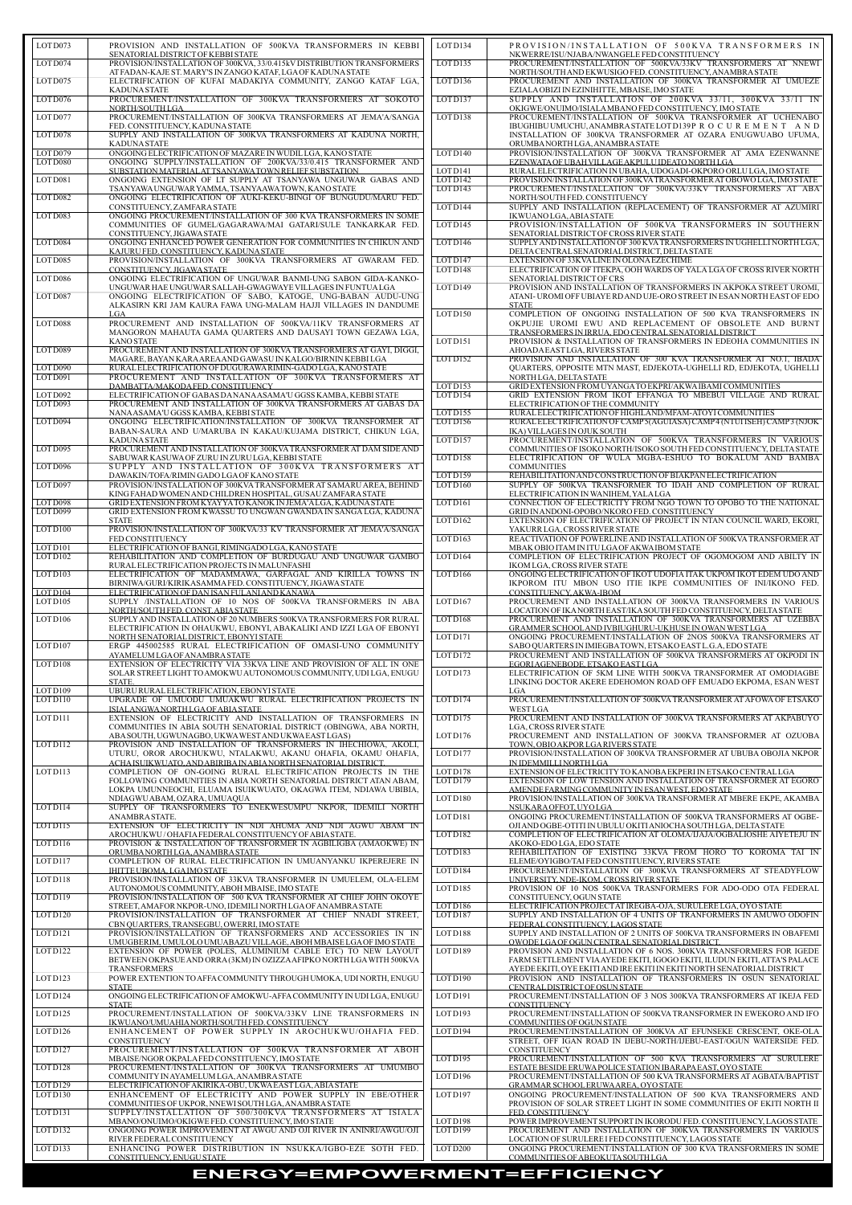| LOT D073                        | PROVISION AND INSTALLATION OF 500KVA TRANSFORMERS IN KEBBI                                                                                  |
|---------------------------------|---------------------------------------------------------------------------------------------------------------------------------------------|
| LOT D074                        | SENATORIAL DISTRICT OF KEBBI STATE<br>PROVISION/INSTALLATION OF 300KVA, 33/0.415kV DISTRIBUTION TRANSFORMERS                                |
|                                 | AT FADAN-KAJE ST. MARY'S IN ZANGO KATAF, LGA OF KADUNA STATE                                                                                |
| LOTD075                         | ELECTRIFICATION OF KUFAI MADAKIYA COMMUNITY, ZANGO KATAF LGA,                                                                               |
| LOTD076                         | <b>KADUNA STATE</b><br>PROCUREMENT/INSTALLATION OF 300KVA TRANSFORMERS AT SOKOTO                                                            |
|                                 | NORTH/SOUTH LGA                                                                                                                             |
| LOTD077                         | PROCUREMENT/INSTALLATION OF 300KVA TRANSFORMERS AT JEMA'A/SANGA<br>FED. CONSTITUENCY, KADUNA STATE                                          |
| LOT D078                        | SUPPLY AND INSTALLATION OF 300KVA TRANSFORMERS AT KADUNA NORTH,                                                                             |
| LOT D079                        | <b>KADUNA STATE</b><br>ONGOING ELECTRIFICATION OF MAZARE IN WUDILLGA, KANO STATE                                                            |
| LOT D080                        | ONGOING SUPPLY/INSTALLATION OF 200KVA/33/0.415 TRANSFORMER AND                                                                              |
|                                 | SUBSTATION MATERIAL AT TSANYAWA TOWN RELIEF SUBSTATION                                                                                      |
| LOT D081                        | ONGOING EXTENSION OF LT SUPPLY AT TSANYAWA UNGUWAR GABAS AND<br>TSANYAWA UNGUWAR YAMMA, TSANYAAWA TOWN, KANO STATE                          |
| LOT D082                        | ONGOING ELECTRIFICATION OF AUKI-KEKU-BINGI OF BUNGUDU/MARU FED.                                                                             |
| LOT D083                        | CONSTITUENCY, ZAMFARA STATE<br>ONGOING PROCUREMENT/INSTALLATION OF 300 KVA TRANSFORMERS IN SOME                                             |
|                                 | COMMUNITIES OF GUMEL/GAGARAWA/MAI GATARI/SULE TANKARKAR FED.                                                                                |
| LOT D084                        | CONSTITUENCY, JIGAWA STATE<br>ONGOING ENHANCED POWER GENERATION FOR COMMUNITIES IN CHIKUN AND                                               |
|                                 | KAJURU FED. CONSTITUENCY, KADUNA STATE                                                                                                      |
| LOT D085                        | PROVISION/INSTALLATION OF 300KVA TRANSFORMERS AT GWARAM FED.<br>CONSTITUENCY, JIGAWA STATE                                                  |
| LOTD086                         | ONGOING ELECTRIFICATION OF UNGUWAR BANMI-UNG SABON GIDA-KANKO-                                                                              |
|                                 | UNGUWAR HAE UNGUWAR SALLAH-GWAGWAYE VILLAGES IN FUNTUALGA                                                                                   |
| LOTD087                         | ONGOING ELECTRIFICATION OF SABO, KATOGE, UNG-BABAN AUDU-UNG<br>ALKASIRN KRI JAM KAURA FAWA UNG-MALAM HAJJI VILLAGES IN DANDUME              |
|                                 | LGA                                                                                                                                         |
| LOTD088                         | PROCUREMENT AND INSTALLATION OF 500KVA/11KV TRANSFORMERS AT<br>MANGORON MAHAUTA GAMA QUARTERS AND DAUSAYI TOWN GEZAWA LGA,                  |
|                                 | KANO STATE                                                                                                                                  |
| LOT D089                        | PROCUREMENT AND INSTALLATION OF 300KVA TRANSFORMERS AT GAYI, DIGGI,<br>MAGARE, BAYAN KARAAREAAND GAWASU IN KALGO/BIRNIN KEBBI LGA           |
| LOT D090                        | RURAL ELECTRIFICATION OF DUGURAWA RIMIN-GADO LGA, KANO STATE                                                                                |
| LOT D091                        | PROCUREMENT AND INSTALLATION OF 300KVA TRANSFORMERS AT<br>DAMBATTA/MAKODA FED. CONSTITUENCY                                                 |
| LOT D092                        | ELECTRIFICATION OF GABAS DANANA ASAMA'U GGSS KAMBA, KEBBI STATE                                                                             |
| LOT D093                        | PROCUREMENT AND INSTALLATION OF 300KVA TRANSFORMERS AT GABAS DA<br>NANAASAMA'U GGSS KAMBA, KEBBI STATE                                      |
| LOT D094                        | ONGOING ELECTRIFICATION/INSTALLATION OF 300KVA TRANSFORMER AT                                                                               |
|                                 | BABAN-SAURA AND U/MARUBA IN KAKAU/KUJAMA DISTRICT, CHIKUN LGA,<br><b>KADUNA STATE</b>                                                       |
| LOT D095                        | PROCUREMENT AND INSTALLATION OF 300KVA TRANSFORMER AT DAM SIDE AND                                                                          |
| LOT D096                        | SABUWAR KASUWA OF ZURU IN ZURU LGA, KEBBI STATE<br>SUPPLY AND INSTALLATION OF 300KVA TRANSFORMERS AT                                        |
|                                 | DAWAKIN/TOFA/RIMIN GADO LGA OF KANO STATE                                                                                                   |
| LOT D097                        | PROVISION/INSTALLATION OF 300KVA TRANSFORMER AT SAMARU AREA, BEHIND<br>KING FAHAD WOMEN AND CHILDREN HOSPITAL, GUSAU ZAMFARA STATE          |
| LOTD098                         | GRID EXTENSION FROM KYAYYA TO KANOK IN JEMA'A LGA, KADUNA STATE                                                                             |
| LOTD099                         | GRID EXTENSION FROM KWASSU TO UNGWAN GWANDA IN SANGA LGA, KADUNA<br><b>STATE</b>                                                            |
| LOTD100                         | PROVISION/INSTALLATION OF 300KVA/33 KV TRANSFORMER AT JEMA'A/SANGA                                                                          |
| LOTD101                         | FED CONSTITUENCY<br>ELECTRIFICATION OF BANGI, RIMINGADO LGA, KANO STATE                                                                     |
| LOTD102                         | REHABILITATION AND COMPLETION OF BURDUGAU AND UNGUWAR GAMBO                                                                                 |
| LOTD103                         | RURAL ELECTRIFICATION PROJECTS IN MALUNFASHI<br>ELECTRIFICATION OF MADAMMAWA, GARFAGAL AND KIRILLA TOWNS IN                                 |
|                                 | BIRNIWA/GURI/KIRIKASAMMAFED. CONSTITUENCY, JIGAWA STATE                                                                                     |
| LOTD104<br>LOT D <sub>105</sub> | ELECTRIFICATION OF DAN ISAN FULANI AND KANAWA<br>SUPPLY /INSTALLATION OF 10 NOS OF 500KVA TRANSFORMERS IN ABA                               |
|                                 | NORTH/SOUTH FED. CONST. ABIA STATE                                                                                                          |
| LOT D <sub>106</sub>            | SUPPLY AND INSTALLATION OF 20 NUMBERS 500KVA TRANSFORMERS FOR RURAL<br>ELECTRIFICATION IN OHAUKWU, EBONYI, ABAKALIKI AND IZZI LGA OF EBONYI |
|                                 | NORTH SENATORIAL DISTRICT, EBONYI STATE                                                                                                     |
| LOT D <sub>107</sub>            | ERGP 445002585 RURAL ELECTRIFICATION OF OMASI-UNO COMMUNITY<br>AYAMELUM LGA OF ANAMBRA STATE                                                |
| LOT D108                        | EXTENSION OF ELECTRICITY VIA 33KVA LINE AND PROVISION OF ALL IN ONE                                                                         |
|                                 | SOLAR STREET LIGHT TO AMOKWU AUTONOMOUS COMMUNITY, UDI LGA, ENUGU<br>STATE.                                                                 |
| LOT D <sub>109</sub>            | UBURU RURAL ELECTRIFICATION, EBONYI STATE                                                                                                   |
| LOTD110                         | UPGRADE OF UMUODU UMUAKWU RURAL ELECTRIFICATION PROJECTS IN<br>ISIALANGWA NORTH LGA OF ABIA STATE                                           |
| LOT D111                        | EXTENSION OF ELECTRICITY AND INSTALLATION OF TRANSFORMERS IN                                                                                |
|                                 | COMMUNITIES IN ABIA SOUTH SENATORIAL DISTRICT (OBINGWA, ABA NORTH,<br>ABA SOUTH, UGWUNAGBO, UKWA WESTAND UKWA EAST LGAS)                    |
| LOTD112                         | PROVISION AND INSTALLATION OF TRANSFORMERS IN IHECHIOWA, AKOLI,                                                                             |
|                                 | UTURU, OROR AROCHUKWU, NTALAKWU, AKANU OHAFIA, OKAMU OHAFIA,<br>ACHA ISUIKWUATO, AND ABIRIBA IN ABIA NORTH SENATORIAL DISTRICT.             |
| LOTD113                         | COMPLETION OF ON-GOING RURAL ELECTRIFICATION PROJECTS IN THE                                                                                |
|                                 | FOLLOWING COMMUNITIES IN ABIA NORTH SENATORIAL DISTRICT ATAN ABAM,<br>LOKPA UMUNNEOCHI, ELUAMA ISUIKWUATO, OKAGWA ITEM, NDIAWA UBIBIA,      |
|                                 | NDIAGWU ABAM, OZARA, UMUAQUA                                                                                                                |
| LOTD114                         | SUPPLY OF TRANSFORMERS TO ENEKWESUMPU NKPOR, IDEMILI NORTH<br>ANAMBRA STATE.                                                                |
| LOTD115                         | EXTENSION OF ELECTRICITY IN NDI AHUMA AND NDI AGWU ABAM IN                                                                                  |
| LOTD116                         | AROCHUKWU/OHAFIA FEDERAL CONSTITUENCY OF ABIA STATE.<br>PROVISION & INSTALLATION OF TRANSFORMER IN AGBILIGBA (AMAOKWE) IN                   |
|                                 | ORUMBANORTHLGA, ANAMBRA STATE                                                                                                               |
| LOT D <sub>117</sub>            | COMPLETION OF RURAL ELECTRIFICATION IN UMUANYANKU IKPEREJERE IN<br>IHITTE UBOMA. LGA IMO STATE                                              |
| LOTD118                         | PROVISION/INSTALLATION OF 33KVA TRANSFORMER IN UMUELEM, OLA-ELEM                                                                            |
| LOTD119                         | AUTONOMOUS COMMUNITY, ABOH MBAISE, IMO STATE<br>PROVISION/INSTALLATION OF 500 KVA TRANSFORMER AT CHIEF JOHN OKOYE                           |
|                                 | STREET, AMAFOR NKPOR-UNO, IDEMILI NORTH LGA OF ANAMBRA STATE                                                                                |

| LOT D073                | PROVISION AND INSTALLATION OF 500KVA TRANSFORMERS IN KEBBI                                                                         | LOT D134                        | PROVISION/INSTALLATION OF 500KVA TRANSFORMERS IN                                                                                                     |
|-------------------------|------------------------------------------------------------------------------------------------------------------------------------|---------------------------------|------------------------------------------------------------------------------------------------------------------------------------------------------|
| LOT D074                | SENATORIAL DISTRICT OF KEBBI STATE<br>PROVISION/INSTALLATION OF 300KVA, 33/0.415kV DISTRIBUTION TRANSFORMERS                       | LOTD135                         | NKWERRE/ISU/NJABA/NWANGELE FED CONSTITUENCY<br>PROCUREMENT/INSTALLATION OF 500KVA/33KV TRANSFORMERS AT NNEWI                                         |
|                         | AT FADAN-KAJE ST. MARY'S IN ZANGO KATAF, LGA OF KADUNA STATE                                                                       |                                 | NORTH/SOUTH AND EKWUSIGO FED. CONSTITUENCY, ANAMBRA STATE                                                                                            |
| LOTD075                 | ELECTRIFICATION OF KUFAI MADAKIYA COMMUNITY, ZANGO KATAF LGA,<br><b>KADUNA STATE</b>                                               | LOTD136                         | PROCUREMENT AND INSTALLATION OF 300KVA TRANSFORMER AT UMUEZE<br>EZIALA OBIZI IN EZINIHITTE, MBAISE, IMO STATE                                        |
| LOTD076                 | PROCUREMENT/INSTALLATION OF 300KVA TRANSFORMERS AT SOKOTO                                                                          | LOTD137                         | SUPPLY AND INSTALLATION OF 200KVA 33/11, 300KVA 33/11 IN                                                                                             |
| LOTD077                 | NORTH/SOUTH LGA<br>PROCUREMENT/INSTALLATION OF 300KVA TRANSFORMERS AT JEMA'A/SANGA                                                 | LOTD138                         | OKIGWE/ONUIMO/ISIALA MBANO FED CONSTITUENCY, IMO STATE<br>PROCUREMENT/INSTALLATION OF 500KVA TRANSFORMER AT UCHENABO                                 |
| LOT D078                | FED. CONSTITUENCY, KADUNA STATE<br>SUPPLY AND INSTALLATION OF 300KVA TRANSFORMERS AT KADUNA NORTH,                                 |                                 | IBUGHIBU UMUCHU, ANAMBRA STATE LOT D139P R O C U R E M E N T A N D                                                                                   |
|                         | <b>KADUNA STATE</b>                                                                                                                |                                 | INSTALLATION OF 300KVA TRANSFORMER AT OZARA ENUGWUABO UFUMA,<br>ORUMBA NORTH LGA, ANAMBRA STATE                                                      |
| LOT D079<br>LOT D080    | ONGOING ELECTRIFICATION OF MAZARE IN WUDILLGA, KANO STATE<br>ONGOING SUPPLY/INSTALLATION OF 200KVA/33/0.415 TRANSFORMER AND        | LOTD140                         | PROVISION/INSTALLATION OF 300KVA TRANSFORMER AT AMA EZENWANNE<br>EZENWATA OF UBAH VILLAGE AKPULU IDEATO NORTH LGA                                    |
|                         | SUBSTATION MATERIAL AT TSANYAWA TOWN RELIEF SUBSTATION                                                                             | LOTD141                         | RURAL ELECTRIFICATION IN UBAHA, UDOGADI-OKPORO ORLULGA, IMO STATE                                                                                    |
| LOT D081                | ONGOING EXTENSION OF LT SUPPLY AT TSANYAWA UNGUWAR GABAS AND<br>TSANYAWA UNGUWAR YAMMA, TSANYAAWA TOWN, KANO STATE                 | LOT D <sub>142</sub><br>LOTD143 | PROVISION/INSTALLATION OF 300KVA TRANSFORMER AT OBOWO LGA, IMO STATE<br>PROCUREMENT/INSTALLATION OF 500KVA/33KV TRANSFORMERS AT ABA                  |
| LOT D082                | ONGOING ELECTRIFICATION OF AUKI-KEKU-BINGI OF BUNGUDU/MARU FED.                                                                    |                                 | NORTH/SOUTH FED. CONSTITUENCY                                                                                                                        |
| LOT D083                | CONSTITUENCY, ZAMFARA STATE<br>ONGOING PROCUREMENT/INSTALLATION OF 300 KVA TRANSFORMERS IN SOME                                    | LOT D144                        | SUPPLY AND INSTALLATION (REPLACEMENT) OF TRANSFORMER AT AZUMIRI<br>IKWUANO LGA, ABIA STATE                                                           |
|                         | COMMUNITIES OF GUMEL/GAGARAWA/MAI GATARI/SULE TANKARKAR FED.<br>CONSTITUENCY, JIGAWA STATE                                         | LOT D <sub>145</sub>            | PROVISION/INSTALLATION OF 500KVA TRANSFORMERS IN SOUTHERN<br>SENATORIAL DISTRICT OF CROSS RIVER STATE                                                |
| LOT D084                | ONGOING ENHANCED POWER GENERATION FOR COMMUNITIES IN CHIKUN AND                                                                    | <b>LOTD146</b>                  | SUPPLY AND INSTALLATION OF 300 KVA TRANSFORMERS IN UGHELLI NORTH LGA,                                                                                |
| LOTD085                 | KAJURU FED. CONSTITUENCY, KADUNA STATE<br>PROVISION/INSTALLATION OF 300KVA TRANSFORMERS AT GWARAM FED.                             | LOTD147                         | DELTA CENTRAL SENATORIAL DISTRICT, DELTA STATE<br>EXTENSION OF 33KVALINE IN OLONA EZECHIME                                                           |
|                         | CONSTITUENCY, JIGAWA STATE                                                                                                         | LOTD148                         | ELECTRIFICATION OF ITEKPA, OOH WARDS OF YALA LGA OF CROSS RIVER NORTH                                                                                |
| LOTD086                 | ONGOING ELECTRIFICATION OF UNGUWAR BANMI-UNG SABON GIDA-KANKO-<br>UNGUWAR HAE UNGUWAR SALLAH-GWAGWAYE VILLAGES IN FUNTUALGA        | LOTD149                         | SENATORIAL DISTRICT OF CRS<br>PROVISION AND INSTALLATION OF TRANSFORMERS IN AKPOKA STREET UROMI,                                                     |
| LOT D087                | ONGOING ELECTRIFICATION OF SABO, KATOGE, UNG-BABAN AUDU-UNG<br>ALKASIRN KRI JAM KAURA FAWA UNG-MALAM HAJJI VILLAGES IN DANDUME     |                                 | ATANI-UROMI OFF UBIAYE RDAND UJE-ORO STREET IN ESAN NORTH EAST OF EDO<br><b>STATE</b>                                                                |
|                         | LGA                                                                                                                                | LOTD150                         | COMPLETION OF ONGOING INSTALLATION OF 500 KVA TRANSFORMERS IN                                                                                        |
| LOTD088                 | PROCUREMENT AND INSTALLATION OF 500KVA/11KV TRANSFORMERS AT<br>MANGORON MAHAUTA GAMA QUARTERS AND DAUSAYI TOWN GEZAWA LGA,         |                                 | OKPUJIE UROMI EWU AND REPLACEMENT OF OBSOLETE AND BURNT<br>TRANSFORMERS IN IRRUA, EDO CENTRAL SENATORIAL DISTRICT                                    |
| LOT D089                | <b>KANO STATE</b><br>PROCUREMENT AND INSTALLATION OF 300KVA TRANSFORMERS AT GAYI, DIGGI,                                           | LOTD151                         | PROVISION & INSTALLATION OF TRANSFORMERS IN EDEOHA COMMUNITIES IN<br>AHOADA EAST LGA, RIVERS STATE                                                   |
|                         | MAGARE, BAYAN KARA AREA AND GAWASU IN KALGO/BIRNIN KEBBI LGA                                                                       | LOTD152                         | PROVISION AND INSTALLATION OF 300 KVA TRANSFORMER AT NO.1, IBADA                                                                                     |
| LOTD090<br>LOT D091     | RURAL ELECTRIFICATION OF DUGURAWA RIMIN-GADO LGA, KANO STATE<br>PROCUREMENT AND INSTALLATION OF 300KVA TRANSFORMERS AT             |                                 | <b>OUARTERS, OPPOSITE MTN MAST, EDJEKOTA-UGHELLI RD, EDJEKOTA, UGHELLI</b><br>NORTH LGA, DELTA STATE                                                 |
| LOT D092                | DAMBATTA/MAKODA FED. CONSTITUENCY<br>ELECTRIFICATION OF GABAS DANANAASAMA'U GGSS KAMBA, KEBBI STATE                                | LOTD153<br>LOTD154              | GRID EXTENSION FROM UYANGA TO EKPRI/AKWA IBAMI COMMUNITIES<br>GRID EXTENSION FROM IKOT EFFANGA TO MBEBUI VILLAGE AND RURAL                           |
| LOT D093                | PROCUREMENT AND INSTALLATION OF 300KVA TRANSFORMERS AT GABAS DA                                                                    |                                 | ELECTRIFICATION OF THE COMMUNITY                                                                                                                     |
| LOT D094                | NANAASAMA'U GGSS KAMBA, KEBBI STATE<br>ONGOING ELECTRIFICATION/INSTALLATION OF 300KVA TRANSFORMER AT                               | LOTD155<br>LOTD156              | RURAL ELECTRIFICATION OF HIGHLAND/MFAM-ATOYI COMMUNITIES<br>RURAL ELECTRIFICATION OF CAMP 5(AGUIASA) CAMP 4 (NTUI ISEH) CAMP 3 (NJOK                 |
|                         | BABAN-SAURA AND U/MARUBA IN KAKAU/KUJAMA DISTRICT, CHIKUN LGA,<br><b>KADUNA STATE</b>                                              | LOT D <sub>157</sub>            | IKA) VILLAGES IN OJUK SOUTH<br>PROCUREMENT/INSTALLATION OF 500KVA TRANSFORMERS IN VARIOUS                                                            |
| $LOT$ $\overline{D095}$ | PROCUREMENT AND INSTALLATION OF 300KVA TRANSFORMER AT DAM SIDE AND<br>SABUWAR KASUWA OF ZURU IN ZURU LGA, KEBBI STATE              | LOTD158                         | COMMUNITIES OF ISOKO NORTH/ISOKO SOUTH FED CONSTITUENCY, DELTA STATE<br>ELECTRIFICATION OF WULA MGBA-ESHUO TO BOKALUM AND BAMBA                      |
| LOTD096                 | SUPPLY AND INSTALLATION OF 300KVA TRANSFORMERS AT                                                                                  |                                 | <b>COMMUNITIES</b>                                                                                                                                   |
| LOT D097                | DAWAKIN/TOFA/RIMIN GADO LGA OF KANO STATE<br>PROVISION/INSTALLATION OF 300KVA TRANSFORMER AT SAMARU AREA, BEHIND                   | LOTD159<br>LOTD160              | REHABILITATION AND CONSTRUCTION OF BIAKPAN ELECTRIFICATION<br>SUPPLY OF 500KVA TRANSFORMER TO IDAH AND COMPLETION OF RURAL                           |
| LOTD098                 | KING FAHAD WOMEN AND CHILDREN HOSPITAL, GUSAU ZAMFARA STATE<br>GRID EXTENSION FROM KYAYYA TO KANOK IN JEMA'A LGA, KADUNA STATE     | LOTD161                         | ELECTRIFICATION IN WANIHEM, YALALGA<br>CONNECTION OF ELECTRICITY FROM NGO TOWN TO OPOBO TO THE NATIONAL                                              |
| LOT D099                | GRID EXTENSION FROM KWASSU TO UNGWAN GWANDA IN SANGA LGA, KADUNA                                                                   |                                 | GRID IN ANDONI-OPOBO/NKORO FED. CONSTITUENCY                                                                                                         |
| LOTD100                 | <b>STATE</b><br>PROVISION/INSTALLATION OF 300KVA/33 KV TRANSFORMER AT JEMA'A/SANGA                                                 | LOT D <sub>162</sub>            | EXTENSION OF ELECTRIFICATION OF PROJECT IN NTAN COUNCIL WARD, EKORI,<br>YAKURR LGA, CROSS RIVER STATE                                                |
| LOTD101                 | FED CONSTITUENCY<br>ELECTRIFICATION OF BANGI, RIMINGADO LGA, KANO STATE                                                            | LOTD163                         | REACTIVATION OF POWERLINE AND INSTALLATION OF 500KVA TRANSFORMER AT<br>MBAK OBIO ITAM IN ITU LGA OF AKWA IBOM STATE                                  |
| LOTD102                 | REHABILITATION AND COMPLETION OF BURDUGAU AND UNGUWAR GAMBO                                                                        | LOTD164                         | COMPLETION OF ELECTRIFICATION PROJECT OF OGOMOGOM AND ABILTY IN                                                                                      |
| LOTD103                 | RURAL ELECTRIFICATION PROJECTS IN MALUNFASHI<br>ELECTRIFICATION OF MADAMMAWA, GARFAGAL AND KIRILLA TOWNS IN                        | <b>LOTD166</b>                  | IKOM LGA, CROSS RIVER STATE<br>ONGOING ELECTRIFICATION OF IKOT UDOFIA ITAK UKPOM IKOT EDEM UDO AND                                                   |
| LOT D <sub>104</sub>    | BIRNIWA/GURI/KIRIKASAMMA FED. CONSTITUENCY, JIGAWA STATE<br>ELECTRIFICATION OF DAN ISAN FULANI AND KANAWA                          |                                 | IKPOROM ITU MBON USO ITIE IKPE COMMUNITIES OF INI/IKONO FED.<br>CONSTITUENCY, AKWA-IBOM                                                              |
| LOT D <sub>105</sub>    | SUPPLY /INSTALLATION OF 10 NOS OF 500KVA TRANSFORMERS IN ABA                                                                       | LOTD167                         | PROCUREMENT AND INSTALLATION OF 300KVA TRANSFORMERS IN VARIOUS                                                                                       |
| LOT D <sub>106</sub>    | NORTH/SOUTH FED. CONST. ABIA STATE<br>SUPPLY AND INSTALLATION OF 20 NUMBERS 500KVA TRANSFORMERS FOR RURAL                          | LOTD168                         | LOCATION OF IKA NORTH EAST/IKA SOUTH FED CONSTITUENCY, DELTA STATE<br>PROCUREMENT AND INSTALLATION OF 300KVA TRANSFORMERS AT UZEBBA                  |
|                         | ELECTRIFICATION IN OHAUKWU, EBONYI, ABAKALIKI AND IZZI LGA OF EBONYI<br>NORTH SENATORIAL DISTRICT, EBONYI STATE                    | LOT D171                        | GRAMMER SCHOOLAND IVBIUGHURU-UKHUSE IN OWAN WESTLGA<br>ONGOING PROCUREMENT/INSTALLATION OF 2NOS 500KVA TRANSFORMERS AT                               |
| LOT D <sub>107</sub>    | ERGP 445002585 RURAL ELECTRIFICATION OF OMASI-UNO COMMUNITY                                                                        |                                 | SABO QUARTERS IN IMIEGBA TOWN, ETSAKO EAST L.G.A, EDO STATE                                                                                          |
| LOT D <sub>108</sub>    | AYAMELUM LGA OF ANAMBRA STATE<br>EXTENSION OF ELECTRICITY VIA 33KVA LINE AND PROVISION OF ALL IN ONE                               | LOT D172                        | PROCUREMENT AND INSTALLATION OF 500KVA TRANSFORMERS AT OKPODI IN<br>EGORIAGENEBODE, ETSAKO EASTLGA                                                   |
|                         | SOLAR STREET LIGHT TO AMOKWU AUTONOMOUS COMMUNITY, UDI LGA, ENUGU<br>STATE.                                                        | LOT D173                        | ELECTRIFICATION OF 5KM LINE WITH 500KVA TRANSFORMER AT OMODIAGBE<br>LINKING DOCTOR AKERE EDEHOMON ROAD OFF EMUADO EKPOMA, ESAN WEST                  |
| LOTD109                 | UBURU RURAL ELECTRIFICATION, EBONYI STATE                                                                                          |                                 | LGA                                                                                                                                                  |
| LOTD110                 | UPGRADE OF UMUODU UMUAKWU RURAL ELECTRIFICATION PROJECTS IN<br>ISIALANGWANORTH LGA OF ABIA STATE                                   | LOT D174                        | PROCUREMENT/INSTALLATION OF 500KVA TRANSFORMER AT AFOWA OF ETSAKO<br>WESTLGA                                                                         |
| LOT D111                | EXTENSION OF ELECTRICITY AND INSTALLATION OF TRANSFORMERS IN<br>COMMUNITIES IN ABIA SOUTH SENATORIAL DISTRICT (OBINGWA, ABA NORTH, | LOT D175                        | PROCUREMENT AND INSTALLATION OF 300KVA TRANSFORMERS AT AKPABUYO<br><b>LGA, CROSS RIVER STATE</b>                                                     |
|                         | ABA SOUTH, UGWUNAGBO, UKWA WESTAND UKWA EAST LGAS)                                                                                 | LOT D176                        | PROCUREMENT AND INSTALLATION OF 300KVA TRANSFORMER AT OZUOBA                                                                                         |
| LOTD112                 | PROVISION AND INSTALLATION OF TRANSFORMERS IN IHECHIOWA, AKOLI,<br>UTURU, OROR AROCHUKWU, NTALAKWU, AKANU OHAFIA, OKAMU OHAFIA,    | LOT D177                        | TOWN, OBIO AKPOR LGARIVERS STATE<br>PROVISION/INSTALLATION OF 300KVA TRANSFORMER AT UBUBA OBOJIA NKPOR                                               |
| LOTD113                 | ACHAISUIKWUATO, AND ABIRIBA IN ABIANORTH SENATORIAL DISTRICT.<br>COMPLETION OF ON-GOING RURAL ELECTRIFICATION PROJECTS IN THE      | LOT D178                        | IN IDEMMILLI NORTH LGA<br>EXTENSION OF ELECTRICITY TO KANOBA EKPERI IN ETSAKO CENTRAL LGA                                                            |
|                         | FOLLOWING COMMUNITIES IN ABIA NORTH SENATORIAL DISTRICT ATAN ABAM,                                                                 | LOTD179                         | EXTENSION OF LOW TENSION AND INSTALLATION OF TRANSFORMER AT EGORO                                                                                    |
|                         | LOKPA UMUNNEOCHI, ELUAMA ISUIKWUATO, OKAGWA ITEM, NDIAWA UBIBIA,<br>NDIAGWU ABAM, OZARA, UMUAQUA                                   | LOTD180                         | AMENDE FARMING COMMUNITY IN ESAN WEST, EDO STATE<br>PROVISION/INSTALLATION OF 300KVA TRANSFORMER AT MBERE EKPE, AKAMBA                               |
| LOTD114                 | SUPPLY OF TRANSFORMERS TO ENEKWESUMPU NKPOR, IDEMILI NORTH<br>ANAMBRA STATE.                                                       | LOTD181                         | NSUKARA OFFOT, UYOLGA<br>ONGOING PROCUREMENT/INSTALLATION OF 500KVA TRANSFORMERS AT OGBE-                                                            |
| LOTD115                 | EXTENSION OF ELECTRICITY IN NDI AHUMA AND NDI AGWU ABAM IN<br>AROCHUKWU/OHAFIA FEDERAL CONSTITUENCY OF ABIA STATE.                 | LOTD182                         | OJI AND OGBE-OTITI IN UBULU OKITI ANIOCHA SOUTH LGA, DELTA STATE<br>COMPLETION OF ELECTRIFICATION AT OLOMA/IJAJA/OGBALIOSHE AIYETEJU IN              |
| LOTD116                 | PROVISION & INSTALLATION OF TRANSFORMER IN AGBILIGBA (AMAOKWE) IN                                                                  |                                 | AKOKO-EDO LGA, EDO STATE                                                                                                                             |
| LOTD117                 | ORUMBANORTHLGA, ANAMBRA STATE<br>COMPLETION OF RURAL ELECTRIFICATION IN UMUANYANKU IKPEREJERE IN                                   | LOTD183                         | REHABILITATION OF EXISTING 33KVA FROM HORO TO KOROMA TAI IN<br>ELEME/OYIGBO/TAI FED CONSTITUENCY, RIVERS STATE                                       |
| LOTD118                 | IHITTE UBOMA, LGA IMO STATE<br>PROVISION/INSTALLATION OF 33KVA TRANSFORMER IN UMUELEM, OLA-ELEM                                    | LOTD184                         | PROCUREMENT/INSTALLATION OF 300KVA TRANSFORMERS AT STEADYFLOW<br>UNIVERSITY, NDE-IKOM, CROSS RIVER STATE                                             |
|                         | AUTONOMOUS COMMUNITY, ABOH MBAISE, IMO STATE                                                                                       | LOTD185                         | PROVISION OF 10 NOS 500KVA TRASNFORMERS FOR ADO-ODO OTA FEDERAL                                                                                      |
| LOTD119                 | PROVISION/INSTALLATION OF 500 KVA TRANSFORMER AT CHIEF JOHN OKOYE<br>STREET, AMAFOR NKPOR-UNO, IDEMILI NORTH LGA OF ANAMBRA STATE  | LOTD186                         | CONSTITUENCY, OGUN STATE<br>ELECTRIFICATION PROJECT AT IREGBA-OJA, SURULERE LGA, OYO STATE                                                           |
| LOT D120                | PROVISION/INSTALLATION OF TRANSFORMER AT CHIEF NNADI STREET,<br>CBN QUARTERS, TRANSEGBU, OWERRI, IMO STATE                         | LOTD187                         | SUPPLY AND INSTALLATION OF 4 UNITS OF TRANFORMERS IN AMUWO ODOFIN<br>FEDERAL CONSTITUENCY, LAGOS STATE                                               |
| LOT D121                | PROVISION/INSTALLATION OF TRANSFORMERS AND ACCESSORIES IN IN<br>UMUGBERIM, UMULOLO UMUABAZU VILLAGE, ABOH MBAISE LGA OF IMO STATE  | LOTD188                         | SUPPLY AND INSTALLATION OF 2 UNITS OF 500KVA TRANSFORMERS IN OBAFEMI<br>OWODE LGA OF OGUN CENTRAL SENATORIAL DISTRICT.                               |
| LOT D122                | EXTENSION OF POWER (POLES, ALUMINIUM CABLE ETC) TO NEW LAYOUT                                                                      | LOTD189                         | PROVISION AND INSTALLATION OF 6 NOS. 300KVA TRANSFORMERS FOR IGEDE                                                                                   |
|                         | BETWEEN OKPASUE AND ORRA (3KM) IN OZIZZA AFIPKO NORTH LGA WITH 500KVA<br><b>TRANSFORMERS</b>                                       |                                 | FARM SETTLEMENT VIA AYEDE EKITI, IGOGO EKITI, ILUDUN EKITI, ATTA'S PALACE<br>AYEDE EKITI, OYE EKITI AND IRE EKITI IN EKITI NORTH SENATORIAL DISTRICT |
| LOTD123                 | POWER EXTENTION TO AFFA COMMUNITY THROUGH UMOKA, UDI NORTH, ENUGU<br><b>STATE</b>                                                  | LOT D190                        | PROVISION AND INSTALLATION OF TRANSFORMERS IN OSUN SENATORIAL<br>CENTRAL DISTRICT OF OSUN STATE                                                      |
| LOTD124                 | ONGOING ELECTRIFICATION OF AMOKWU-AFFA COMMUNITY IN UDI LGA, ENUGU                                                                 | LOTD191                         | PROCUREMENT/INSTALLATION OF 3 NOS 300KVA TRANSFORMERS AT IKEJA FED                                                                                   |
| LOTD125                 | <b>STATE</b><br>PROCUREMENT/INSTALLATION OF 500KVA/33KV LINE TRANSFORMERS IN                                                       | LOTD193                         | <b>CONSTITUENCY</b><br>PROCUREMENT/INSTALLATION OF 500KVA TRANSFORMER IN EWEKORO AND IFO                                                             |
| LOTD126                 | IKWUANO/UMUAHIANORTH/SOUTH FED. CONSTITUENCY<br>ENHANCEMENT OF POWER SUPPLY IN AROCHUKWU/OHAFIA FED.                               | LOT D194                        | <b>COMMUNITIES OF OGUN STATE</b><br>PROCUREMENT/INSTALLATION OF 300KVA AT EFUNSEKE CRESCENT, OKE-OLA                                                 |
| LOTD127                 | <b>CONSTITUENCY</b><br>PROCUREMENT/INSTALLATION OF 500KVA TRANSFORMER AT ABOH                                                      |                                 | STREET, OFF IGAN ROAD IN IJEBU-NORTH/IJEBU-EAST/OGUN WATERSIDE FED.<br><b>CONSTITUENCY</b>                                                           |
|                         | MBAISE/NGOR OKPALA FED CONSTITUENCY, IMO STATE                                                                                     | LOTD195                         | PROCUREMENT/INSTALLATION OF 500 KVA TRANSFORMERS AT SURULERE                                                                                         |
| LOTD128                 | PROCUREMENT/INSTALLATION OF 300KVA TRANSFORMERS AT UMUMBO<br>COMMUNITY IN AYAMELUM LGA, ANAMBRA STATE                              | LOTD196                         | ESTATE BESIDE ERUWA POLICE STATION IBARAPA EAST, OYO STATE<br>PROCUREMENT/INSTALLATION OF 500 KVA TRANSFORMERS AT AGBATA/BAPTIST                     |
| LOTD129<br>LOTD130      | ELECTRIFICATION OF AKIRIKA-OBU, UKWA EAST LGA, ABIA STATE<br>ENHANCEMENT OF ELECTRICITY AND POWER SUPPLY IN EBE/OTHER              | LOTD197                         | GRAMMAR SCHOOL ERUWAAREA, OYO STATE<br>ONGOING PROCUREMENT/INSTALLATION OF 500 KVA TRANSFORMERS AND                                                  |
|                         | COMMUNITIES OF UKPOR, NNEWI SOUTH LGA, ANAMBRA STATE                                                                               |                                 | PROVISION OF SOLAR STREET LIGHT IN SOME COMMUNITIES OF EKITI NORTH II                                                                                |
| LOTD131                 | SUPPLY/INSTALLATION OF 500/300KVA TRANSFORMERS AT ISIALA<br>MBANO/ONUIMO/OKIGWE FED. CONSTITUENCY, IMO STATE                       | LOT D198                        | FED. CONSTITUENCY<br>POWER IMPROVEMENT SUPPORT IN IKORODU FED. CONSTITUENCY, LAGOS STATE                                                             |
| LOT D132                | ONGOING POWER IMPROVEMENT AT AWGU AND OJI RIVER IN ANINRI/AWGU/OJI<br>RIVER FEDERAL CONSTITUENCY                                   | LOT D199                        | PROCUREMENT AND INSTALLATION OF 300KVA TRANSFORMERS IN VARIOUS<br>LOCATION OF SURULERE I FED CONSTITUENCY, LAGOS STATE                               |
| LOTD133                 | ENHANCING POWER DISTRIBUTION IN NSUKKA/IGBO-EZE SOTH FED.                                                                          | LOT D <sub>200</sub>            | ONGOING PROCUREMENT/INSTALLATION OF 300 KVA TRANSFORMERS IN SOME                                                                                     |
|                         | CONSTITUENCY, ENUGU STATE                                                                                                          |                                 | COMMUNITIES OF ABEOKUTA SOUTH LGA                                                                                                                    |